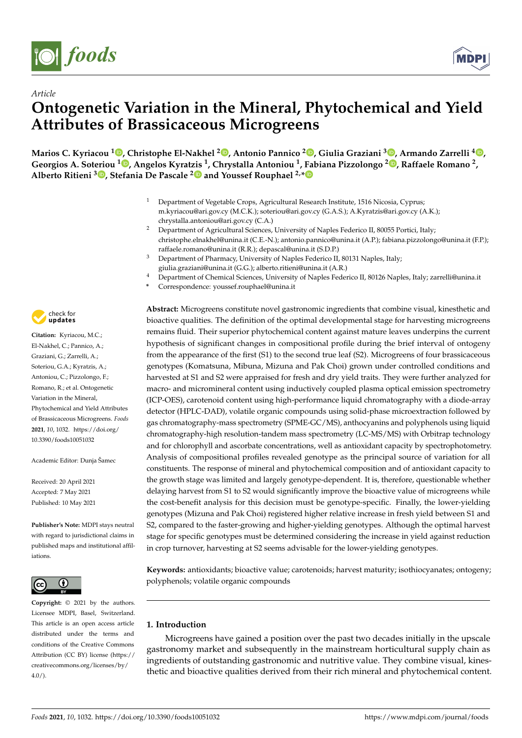

*Article*



# **Ontogenetic Variation in the Mineral, Phytochemical and Yield Attributes of Brassicaceous Microgreens**

**Marios C. Kyriacou <sup>1</sup> [,](https://orcid.org/0000-0002-8753-9521) Christophe El-Nakhel <sup>2</sup> [,](https://orcid.org/0000-0002-1200-2834) Antonio Pannico <sup>2</sup> [,](https://orcid.org/0000-0002-2999-1536) Giulia Graziani <sup>3</sup> [,](https://orcid.org/0000-0003-3070-5389) Armando Zarrelli <sup>4</sup> [,](https://orcid.org/0000-0001-7866-821X) Georgios A. Soteriou <sup>1</sup> [,](https://orcid.org/0000-0002-3601-1129) Angelos Kyratzis <sup>1</sup> , Chrystalla Antoniou <sup>1</sup> , Fabiana Pizzolongo <sup>2</sup> [,](https://orcid.org/0000-0001-7661-2853) Raffaele Romano <sup>2</sup> , Alberto Ritieni <sup>3</sup> [,](https://orcid.org/0000-0003-0314-8839) Stefania De Pascale [2](https://orcid.org/0000-0002-3653-7497) and Youssef Rouphael 2,[\\*](https://orcid.org/0000-0002-1002-8651)**

- <sup>1</sup> Department of Vegetable Crops, Agricultural Research Institute, 1516 Nicosia, Cyprus; m.kyriacou@ari.gov.cy (M.C.K.); soteriou@ari.gov.cy (G.A.S.); A.Kyratzis@ari.gov.cy (A.K.); chrystalla.antoniou@ari.gov.cy (C.A.)
- <sup>2</sup> Department of Agricultural Sciences, University of Naples Federico II, 80055 Portici, Italy; christophe.elnakhel@unina.it (C.E.-N.); antonio.pannico@unina.it (A.P.); fabiana.pizzolongo@unina.it (F.P.); raffaele.romano@unina.it (R.R.); depascal@unina.it (S.D.P.)
- <sup>3</sup> Department of Pharmacy, University of Naples Federico II, 80131 Naples, Italy; giulia.graziani@unina.it (G.G.); alberto.ritieni@unina.it (A.R.)
- <sup>4</sup> Department of Chemical Sciences, University of Naples Federico II, 80126 Naples, Italy; zarrelli@unina.it
- **\*** Correspondence: youssef.rouphael@unina.it

**Citation:** Kyriacou, M.C.; El-Nakhel, C.; Pannico, A.; Graziani, G.; Zarrelli, A.; Soteriou, G.A.; Kyratzis, A.; Antoniou, C.; Pizzolongo, F.; Romano, R.; et al. Ontogenetic Variation in the Mineral, Phytochemical and Yield Attributes of Brassicaceous Microgreens. *Foods* **2021**, *10*, 1032. [https://doi.org/](https://doi.org/10.3390/foods10051032) [10.3390/foods10051032](https://doi.org/10.3390/foods10051032)

Academic Editor: Dunja Šamec

Received: 20 April 2021 Accepted: 7 May 2021 Published: 10 May 2021

**Publisher's Note:** MDPI stays neutral with regard to jurisdictional claims in published maps and institutional affiliations.



**Copyright:** © 2021 by the authors. Licensee MDPI, Basel, Switzerland. This article is an open access article distributed under the terms and conditions of the Creative Commons Attribution (CC BY) license (https:/[/](https://creativecommons.org/licenses/by/4.0/) [creativecommons.org/licenses/by/](https://creativecommons.org/licenses/by/4.0/)  $4.0/$ ).

**Abstract:** Microgreens constitute novel gastronomic ingredients that combine visual, kinesthetic and bioactive qualities. The definition of the optimal developmental stage for harvesting microgreens remains fluid. Their superior phytochemical content against mature leaves underpins the current hypothesis of significant changes in compositional profile during the brief interval of ontogeny from the appearance of the first (S1) to the second true leaf (S2). Microgreens of four brassicaceous genotypes (Komatsuna, Mibuna, Mizuna and Pak Choi) grown under controlled conditions and harvested at S1 and S2 were appraised for fresh and dry yield traits. They were further analyzed for macro- and micromineral content using inductively coupled plasma optical emission spectrometry (ICP-OES), carotenoid content using high-performance liquid chromatography with a diode-array detector (HPLC-DAD), volatile organic compounds using solid-phase microextraction followed by gas chromatography-mass spectrometry (SPME-GC/MS), anthocyanins and polyphenols using liquid chromatography-high resolution-tandem mass spectrometry (LC-MS/MS) with Orbitrap technology and for chlorophyll and ascorbate concentrations, well as antioxidant capacity by spectrophotometry. Analysis of compositional profiles revealed genotype as the principal source of variation for all constituents. The response of mineral and phytochemical composition and of antioxidant capacity to the growth stage was limited and largely genotype-dependent. It is, therefore, questionable whether delaying harvest from S1 to S2 would significantly improve the bioactive value of microgreens while the cost-benefit analysis for this decision must be genotype-specific. Finally, the lower-yielding genotypes (Mizuna and Pak Choi) registered higher relative increase in fresh yield between S1 and S2, compared to the faster-growing and higher-yielding genotypes. Although the optimal harvest stage for specific genotypes must be determined considering the increase in yield against reduction in crop turnover, harvesting at S2 seems advisable for the lower-yielding genotypes.

**Keywords:** antioxidants; bioactive value; carotenoids; harvest maturity; isothiocyanates; ontogeny; polyphenols; volatile organic compounds

## **1. Introduction**

Microgreens have gained a position over the past two decades initially in the upscale gastronomy market and subsequently in the mainstream horticultural supply chain as ingredients of outstanding gastronomic and nutritive value. They combine visual, kinesthetic and bioactive qualities derived from their rich mineral and phytochemical content.

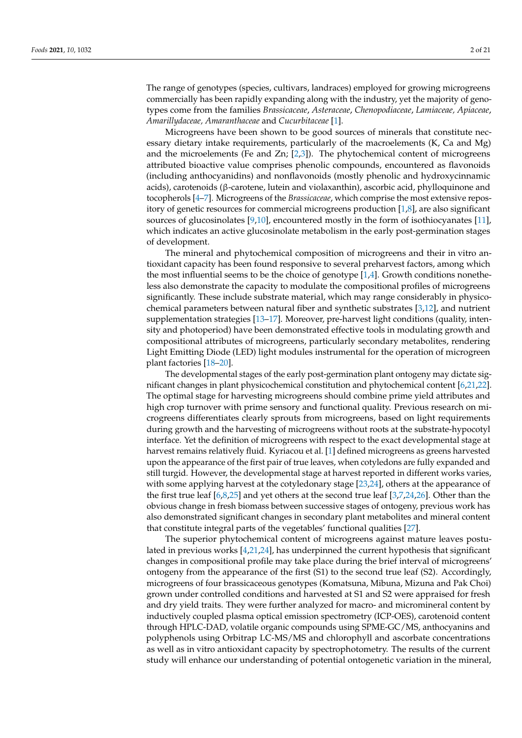The range of genotypes (species, cultivars, landraces) employed for growing microgreens commercially has been rapidly expanding along with the industry, yet the majority of genotypes come from the families *Brassicaceae*, *Asteraceae*, *Chenopodiaceae*, *Lamiaceae, Apiaceae*, *Amarillydaceae, Amaranthaceae* and *Cucurbitaceae* [\[1\]](#page-18-0).

Microgreens have been shown to be good sources of minerals that constitute necessary dietary intake requirements, particularly of the macroelements (K, Ca and Mg) and the microelements (Fe and Zn;  $[2,3]$  $[2,3]$ ). The phytochemical content of microgreens attributed bioactive value comprises phenolic compounds, encountered as flavonoids (including anthocyanidins) and nonflavonoids (mostly phenolic and hydroxycinnamic acids), carotenoids (β-carotene, lutein and violaxanthin), ascorbic acid, phylloquinone and tocopherols [\[4–](#page-18-3)[7\]](#page-18-4). Microgreens of the *Brassicaceae*, which comprise the most extensive repository of genetic resources for commercial microgreens production [\[1](#page-18-0)[,8\]](#page-18-5), are also significant sources of glucosinolates [\[9,](#page-18-6)[10\]](#page-18-7), encountered mostly in the form of isothiocyanates [\[11\]](#page-18-8), which indicates an active glucosinolate metabolism in the early post-germination stages of development.

The mineral and phytochemical composition of microgreens and their in vitro antioxidant capacity has been found responsive to several preharvest factors, among which the most influential seems to be the choice of genotype  $[1,4]$  $[1,4]$ . Growth conditions nonetheless also demonstrate the capacity to modulate the compositional profiles of microgreens significantly. These include substrate material, which may range considerably in physicochemical parameters between natural fiber and synthetic substrates [\[3](#page-18-2)[,12\]](#page-18-9), and nutrient supplementation strategies [\[13–](#page-18-10)[17\]](#page-18-11). Moreover, pre-harvest light conditions (quality, intensity and photoperiod) have been demonstrated effective tools in modulating growth and compositional attributes of microgreens, particularly secondary metabolites, rendering Light Emitting Diode (LED) light modules instrumental for the operation of microgreen plant factories [\[18](#page-18-12)[–20\]](#page-18-13).

The developmental stages of the early post-germination plant ontogeny may dictate significant changes in plant physicochemical constitution and phytochemical content [\[6](#page-18-14)[,21](#page-18-15)[,22\]](#page-18-16). The optimal stage for harvesting microgreens should combine prime yield attributes and high crop turnover with prime sensory and functional quality. Previous research on microgreens differentiates clearly sprouts from microgreens, based on light requirements during growth and the harvesting of microgreens without roots at the substrate-hypocotyl interface. Yet the definition of microgreens with respect to the exact developmental stage at harvest remains relatively fluid. Kyriacou et al. [\[1\]](#page-18-0) defined microgreens as greens harvested upon the appearance of the first pair of true leaves, when cotyledons are fully expanded and still turgid. However, the developmental stage at harvest reported in different works varies, with some applying harvest at the cotyledonary stage [\[23](#page-18-17)[,24\]](#page-19-0), others at the appearance of the first true leaf [\[6,](#page-18-14)[8,](#page-18-5)[25\]](#page-19-1) and yet others at the second true leaf [\[3,](#page-18-2)[7,](#page-18-4)[24,](#page-19-0)[26\]](#page-19-2). Other than the obvious change in fresh biomass between successive stages of ontogeny, previous work has also demonstrated significant changes in secondary plant metabolites and mineral content that constitute integral parts of the vegetables' functional qualities [\[27\]](#page-19-3).

The superior phytochemical content of microgreens against mature leaves postulated in previous works  $[4,21,24]$  $[4,21,24]$  $[4,21,24]$ , has underpinned the current hypothesis that significant changes in compositional profile may take place during the brief interval of microgreens' ontogeny from the appearance of the first (S1) to the second true leaf (S2). Accordingly, microgreens of four brassicaceous genotypes (Komatsuna, Mibuna, Mizuna and Pak Choi) grown under controlled conditions and harvested at S1 and S2 were appraised for fresh and dry yield traits. They were further analyzed for macro- and micromineral content by inductively coupled plasma optical emission spectrometry (ICP-OES), carotenoid content through HPLC-DAD, volatile organic compounds using SPME-GC/MS, anthocyanins and polyphenols using Orbitrap LC-MS/MS and chlorophyll and ascorbate concentrations as well as in vitro antioxidant capacity by spectrophotometry. The results of the current study will enhance our understanding of potential ontogenetic variation in the mineral,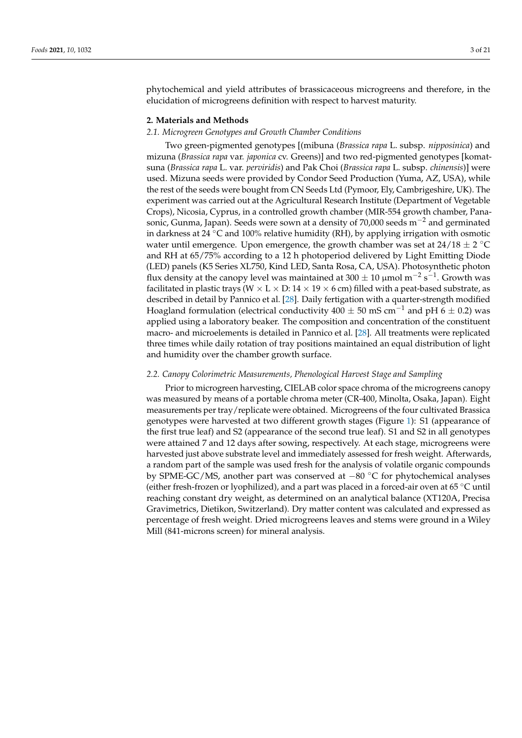phytochemical and yield attributes of brassicaceous microgreens and therefore, in the elucidation of microgreens definition with respect to harvest maturity.

#### **2. Materials and Methods**

#### *2.1. Microgreen Genotypes and Growth Chamber Conditions*

Two green-pigmented genotypes [(mibuna (*Brassica rapa* L. subsp. *nipposinica*) and mizuna (*Brassica rapa* var. *japonica* cv. Greens)] and two red-pigmented genotypes [komatsuna (*Brassica rapa* L. var. *perviridis*) and Pak Choi (*Brassica rapa* L. subsp. *chinensis*)] were used. Mizuna seeds were provided by Condor Seed Production (Yuma, AZ, USA), while the rest of the seeds were bought from CN Seeds Ltd (Pymoor, Ely, Cambrigeshire, UK). The experiment was carried out at the Agricultural Research Institute (Department of Vegetable Crops), Nicosia, Cyprus, in a controlled growth chamber (MIR-554 growth chamber, Panasonic, Gunma, Japan). Seeds were sown at a density of  $70,000$  seeds m<sup>-2</sup> and germinated in darkness at 24 ◦C and 100% relative humidity (RH), by applying irrigation with osmotic water until emergence. Upon emergence, the growth chamber was set at  $24/18 \pm 2$  °C and RH at 65/75% according to a 12 h photoperiod delivered by Light Emitting Diode (LED) panels (K5 Series XL750, Kind LED, Santa Rosa, CA, USA). Photosynthetic photon flux density at the canopy level was maintained at 300  $\pm$  10 μmol m<sup>−2</sup> s<sup>−1</sup>. Growth was facilitated in plastic trays (W  $\times$  L  $\times$  D: 14  $\times$  19  $\times$  6 cm) filled with a peat-based substrate, as described in detail by Pannico et al. [\[28\]](#page-19-4). Daily fertigation with a quarter-strength modified Hoagland formulation (electrical conductivity  $400 \pm 50$  mS cm<sup>-1</sup> and pH 6  $\pm$  0.2) was applied using a laboratory beaker. The composition and concentration of the constituent macro- and microelements is detailed in Pannico et al. [\[28\]](#page-19-4). All treatments were replicated three times while daily rotation of tray positions maintained an equal distribution of light and humidity over the chamber growth surface.

#### *2.2. Canopy Colorimetric Measurements, Phenological Harvest Stage and Sampling*

Prior to microgreen harvesting, CIELAB color space chroma of the microgreens canopy was measured by means of a portable chroma meter (CR-400, Minolta, Osaka, Japan). Eight measurements per tray/replicate were obtained. Microgreens of the four cultivated Brassica genotypes were harvested at two different growth stages (Figure [1\)](#page-3-0): S1 (appearance of the first true leaf) and S2 (appearance of the second true leaf). S1 and S2 in all genotypes were attained 7 and 12 days after sowing, respectively. At each stage, microgreens were harvested just above substrate level and immediately assessed for fresh weight. Afterwards, a random part of the sample was used fresh for the analysis of volatile organic compounds by SPME-GC/MS, another part was conserved at −80 ◦C for phytochemical analyses (either fresh-frozen or lyophilized), and a part was placed in a forced-air oven at 65 ◦C until reaching constant dry weight, as determined on an analytical balance (XT120A, Precisa Gravimetrics, Dietikon, Switzerland). Dry matter content was calculated and expressed as percentage of fresh weight. Dried microgreens leaves and stems were ground in a Wiley Mill (841-microns screen) for mineral analysis.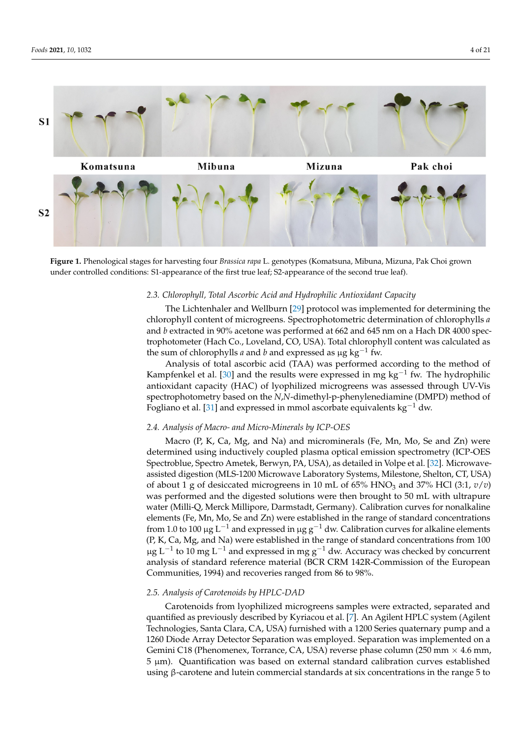<span id="page-3-0"></span>

**Figure 1.** Phenological stages for harvesting four *Brassica rapa* L. genotypes (Komatsuna, Mibuna, Mizuna, Pak Choi grown under controlled conditions: S1-appearance of the first true leaf; S2-appearance of the second true leaf). under controlled conditions: S1-appearance of the first true leaf; S2-appearance of the second true leaf).

### *2.3. Chlorophyll, Total Ascorbic Acid and Hydrophilic Antioxidant Capacity 2.3. Chlorophyll, Total Ascorbic Acid and Hydrophilic Antioxidant Capacity*

The Lichtenhaler and Wellburn [\[29\]](#page-19-5) protocol was implemented for determining the The Lichtenhaler and Wellburn [29] protocol was implemented for determining the chlorophyll content of microgreens. Spectrophotometric determination of chlorophylls *a* chlorophyll content of microgreens. Spectrophotometric determination of chlorophylls *a* and *b* extracted in 90% acetone was performed at 662 and 645 nm on a Hach DR 4000 spectrophotometer (Hach Co., Loveland, CO, USA). Total chlorophyll content was calculated as the sum of chlorophylls *a* and *b* and expressed as μg kg<sup>−1</sup> fw.

Analysis of total ascorbic acid (TAA) was performed according to the method of Analysis of total ascorbic acid (TAA) was performed according to the method of Kampfenkel et al. [\[30\]](#page-19-6) and the results were expressed in mg kg<sup>-1</sup> fw. The hydrophilic antioxidant capacity (HAC) of lyophilized microgreens was assessed through UV-Vis antioxidant capacity (HAC) of lyophilized microgreens was assessed through UV-Vis spectrophotometry based on the *N*,*N*-dimethyl-p-phenylenediamine (DMPD) method of spectrophotometry based on the *N*,*N*-dimethyl-p-phenylenediamine (DMPD) method of Fogliano et al. [\[31\]](#page-19-7) and expressed in mmol ascorbate equivalents kg<sup>-1</sup> dw.

# *2.4. Analysis of Macro- and Micro-Minerals by ICP-OES 2.4. Analysis of Macro- and Micro-Minerals by ICP-OES*

Macro (P, K, Ca, Mg, and Na) and microminerals (Fe, Mn, Mo, Se and Zn) were Macro (P, K, Ca, Mg, and Na) and microminerals (Fe, Mn, Mo, Se and Zn) were determined using inductively coupled plasma optical emission spectrometry (ICP-OES determined using inductively coupled plasma optical emission spectrometry (ICP-OES Spectroblue, Spectro Ametek, Berwyn, PA, USA), as detailed in Volpe et al. [32]. Spectroblue, Spectro Ametek, Berwyn, PA, USA), as detailed in Volpe et al. [\[32\]](#page-19-8). Microwaveassisted digestion (MLS-1200 Microwave Laboratory Systems, Milestone, Shelton, CT, USA) of about 1 g of desiccated microgreens in 10 mL of 65% HNO<sub>3</sub> and 37% HCl (3:1,  $v/v$ ) was performed and the digested solutions were then brought to 50 mL with until the digest water (Milli-Q, Merck Millipore, Darmstadt, Germany). Calibration curves for nonalkaline from 1.0 to 100 µg L<sup>−1</sup> and expressed in µg g<sup>−1</sup> dw. Calibration curves for alkaline elements From 1.0 to 100 μg L−1 and expressed in μg g−1 dw. Calibration curves for antaline elements (P, K, Ca, Mg, and Na) were established in the range of standard concentrations from 100  $\mu$ g L<sup>−1</sup> to 10 mg L<sup>−1</sup> and expressed in mg g<sup>−1</sup> dw. Accuracy was checked by concurrent Fg L−1 to 10 mg L−1 and expressed in mg g−1 dw. Accuracy was checked by concentration<br>analysis of standard reference material (BCR CRM 142R-Commission of the European checked by concerning and concerning the concerning of the state of standard reference material (CRM  $\frac{100}{\pi}$ Communities, 1994) and recoveries ranged from 86 to 98%. was performed and the digested solutions were then brought to 50 mL with ultrapure elements (Fe, Mn, Mo, Se and Zn) were established in the range of standard concentrations

#### *2.5. Analysis of Carotenoids by HPLC-DAD*

*2.5. Analysis of Carotenoids by HPLC-DAD*  Carotenoids from lyophilized microgreens samples were extracted, separated and quantified as previously described by Kyriacou et al. [\[7\]](#page-18-4). An Agilent HPLC system (Agilent Technologies, Santa Clara, CA, USA) furnished with a 1200 Series quaternary pump and a 1260 Diode Array Detector Separation was employed. Separation was implemented on a Gemini C18 (Phenomenex, Torrance, CA, USA) reverse phase column (250 mm  $\times$  4.6 mm,  $5 \mu m$ ). Quantification was based on external standard calibration curves established using β-carotene and lutein commercial standards at six concentrations in the range  $5$  to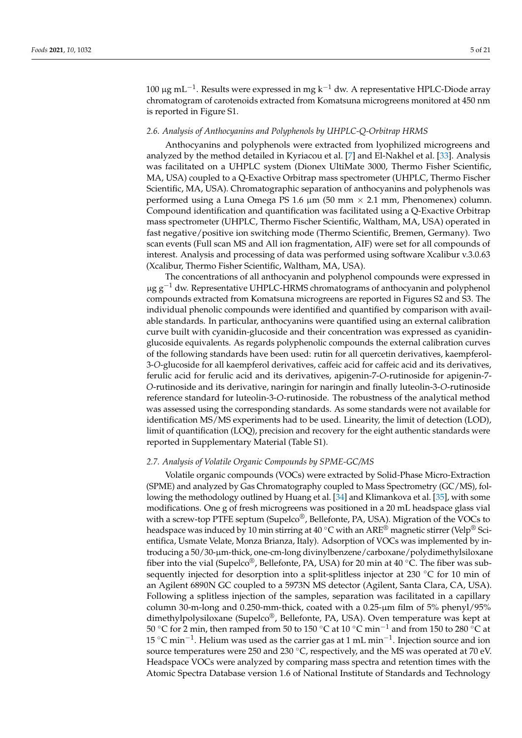100 μg mL<sup>-1</sup>. Results were expressed in mg k<sup>-1</sup> dw. A representative HPLC-Diode array chromatogram of carotenoids extracted from Komatsuna microgreens monitored at 450 nm is reported in Figure S1.

#### *2.6. Analysis of Anthocyanins and Polyphenols by UHPLC-Q-Orbitrap HRMS*

Anthocyanins and polyphenols were extracted from lyophilized microgreens and analyzed by the method detailed in Kyriacou et al. [\[7\]](#page-18-4) and El-Nakhel et al. [\[33\]](#page-19-9). Analysis was facilitated on a UHPLC system (Dionex UltiMate 3000, Thermo Fisher Scientific, MA, USA) coupled to a Q-Exactive Orbitrap mass spectrometer (UHPLC, Thermo Fischer Scientific, MA, USA). Chromatographic separation of anthocyanins and polyphenols was performed using a Luna Omega PS 1.6  $\mu$ m (50 mm  $\times$  2.1 mm, Phenomenex) column. Compound identification and quantification was facilitated using a Q-Exactive Orbitrap mass spectrometer (UHPLC, Thermo Fischer Scientific, Waltham, MA, USA) operated in fast negative/positive ion switching mode (Thermo Scientific, Bremen, Germany). Two scan events (Full scan MS and All ion fragmentation, AIF) were set for all compounds of interest. Analysis and processing of data was performed using software Xcalibur v.3.0.63 (Xcalibur, Thermo Fisher Scientific, Waltham, MA, USA).

The concentrations of all anthocyanin and polyphenol compounds were expressed in  $\mu$ g g<sup>-1</sup> dw. Representative UHPLC-HRMS chromatograms of anthocyanin and polyphenol compounds extracted from Komatsuna microgreens are reported in Figures S2 and S3. The individual phenolic compounds were identified and quantified by comparison with available standards. In particular, anthocyanins were quantified using an external calibration curve built with cyanidin-glucoside and their concentration was expressed as cyanidinglucoside equivalents. As regards polyphenolic compounds the external calibration curves of the following standards have been used: rutin for all quercetin derivatives, kaempferol-3-*O*-glucoside for all kaempferol derivatives, caffeic acid for caffeic acid and its derivatives, ferulic acid for ferulic acid and its derivatives, apigenin-7-*O*-rutinoside for apigenin-7- *O*-rutinoside and its derivative, naringin for naringin and finally luteolin-3-*O*-rutinoside reference standard for luteolin-3-*O*-rutinoside. The robustness of the analytical method was assessed using the corresponding standards. As some standards were not available for identification MS/MS experiments had to be used. Linearity, the limit of detection (LOD), limit of quantification (LOQ), precision and recovery for the eight authentic standards were reported in Supplementary Material (Table S1).

#### *2.7. Analysis of Volatile Organic Compounds by SPME-GC/MS*

Volatile organic compounds (VOCs) were extracted by Solid-Phase Micro-Extraction (SPME) and analyzed by Gas Chromatography coupled to Mass Spectrometry (GC/MS), following the methodology outlined by Huang et al. [\[34\]](#page-19-10) and Klimankova et al. [\[35\]](#page-19-11), with some modifications. One g of fresh microgreens was positioned in a 20 mL headspace glass vial with a screw-top PTFE septum (Supelco<sup>®</sup>, Bellefonte, PA, USA). Migration of the VOCs to headspace was induced by 10 min stirring at 40 °C with an ARE<sup>®</sup> magnetic stirrer (Velp<sup>®</sup> Scientifica, Usmate Velate, Monza Brianza, Italy). Adsorption of VOCs was implemented by introducing a 50/30-µm-thick, one-cm-long divinylbenzene/carboxane/polydimethylsiloxane fiber into the vial (Supelco®, Bellefonte, PA, USA) for 20 min at 40 °C. The fiber was subsequently injected for desorption into a split-splitless injector at 230 ℃ for 10 min of an Agilent 6890N GC coupled to a 5973N MS detector (Agilent, Santa Clara, CA, USA). Following a splitless injection of the samples, separation was facilitated in a capillary column 30-m-long and 0.250-mm-thick, coated with a 0.25-µm film of 5% phenyl/95% dimethylpolysiloxane (Supelco®, Bellefonte, PA, USA). Oven temperature was kept at 50 °C for 2 min, then ramped from 50 to 150 °C at 10 °C min<sup>-1</sup> and from 150 to 280 °C at 15 °C min<sup>-1</sup>. Helium was used as the carrier gas at 1 mL min<sup>-1</sup>. Injection source and ion source temperatures were 250 and 230 °C, respectively, and the MS was operated at 70 eV. Headspace VOCs were analyzed by comparing mass spectra and retention times with the Atomic Spectra Database version 1.6 of National Institute of Standards and Technology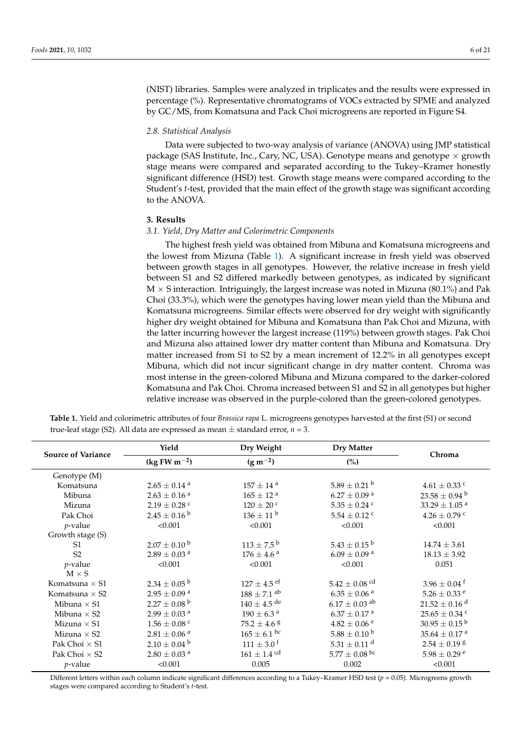(NIST) libraries. Samples were analyzed in triplicates and the results were expressed in percentage (%). Representative chromatograms of VOCs extracted by SPME and analyzed by GC/MS, from Komatsuna and Pack Choi microgreens are reported in Figure S4.

#### *2.8. Statistical Analysis*

Data were subjected to two-way analysis of variance (ANOVA) using JMP statistical package (SAS Institute, Inc., Cary, NC, USA). Genotype means and genotype  $\times$  growth stage means were compared and separated according to the Tukey–Kramer honestly significant difference (HSD) test. Growth stage means were compared according to the Student's *t*-test, provided that the main effect of the growth stage was significant according to the ANOVA.

#### **3. Results**

#### *3.1. Yield, Dry Matter and Colorimetric Components*

The highest fresh yield was obtained from Mibuna and Komatsuna microgreens and the lowest from Mizuna (Table [1\)](#page-5-0). A significant increase in fresh yield was observed between growth stages in all genotypes. However, the relative increase in fresh yield between S1 and S2 differed markedly between genotypes, as indicated by significant  $M \times S$  interaction. Intriguingly, the largest increase was noted in Mizuna (80.1%) and Pak Choi (33.3%), which were the genotypes having lower mean yield than the Mibuna and Komatsuna microgreens. Similar effects were observed for dry weight with significantly higher dry weight obtained for Mibuna and Komatsuna than Pak Choi and Mizuna, with the latter incurring however the largest increase (119%) between growth stages. Pak Choi and Mizuna also attained lower dry matter content than Mibuna and Komatsuna. Dry matter increased from S1 to S2 by a mean increment of 12.2% in all genotypes except Mibuna, which did not incur significant change in dry matter content. Chroma was most intense in the green-colored Mibuna and Mizuna compared to the darker-colored Komatsuna and Pak Choi. Chroma increased between S1 and S2 in all genotypes but higher relative increase was observed in the purple-colored than the green-colored genotypes.

| <b>Source of Variance</b> | Yield                        | Dry Weight                  | <b>Dry Matter</b>             | Chroma                        |
|---------------------------|------------------------------|-----------------------------|-------------------------------|-------------------------------|
|                           | $(kg FW m^{-2})$             | $(g m^{-2})$                | (%)                           |                               |
| Genotype (M)              |                              |                             |                               |                               |
| Komatsuna                 | $2.65 \pm 0.14$ <sup>a</sup> | $157\pm14$ $^{\rm a}$       | $5.89 \pm 0.21$ b             | $4.61 \pm 0.33$ c             |
| Mibuna                    | $2.63\pm0.16$ $^{\rm a}$     | $165\pm12$ $^{\rm a}$       | $6.27\pm0.09$ $^{\rm a}$      | $23.58 \pm 0.94$ b            |
| Mizuna                    | $2.19 \pm 0.28$ c            | $120 \pm 20$ c              | $5.35\pm0.24$ $^{\rm c}$      | 33.29 $\pm$ 1.05 <sup>a</sup> |
| Pak Choi                  | $2.45 \pm 0.16^{\mathrm{b}}$ | $136 \pm 11^{\mathrm{b}}$   | $5.54 \pm 0.12$ <sup>c</sup>  | $4.26 \pm 0.79$ c             |
| $p$ -value                | < 0.001                      | < 0.001                     | < 0.001                       | < 0.001                       |
| Growth stage (S)          |                              |                             |                               |                               |
| S <sub>1</sub>            | $2.07 \pm 0.10^{\mathrm{b}}$ | $113 \pm 7.5^{\mathrm{b}}$  | $5.43 \pm 0.15^{\text{ b}}$   | $14.74 \pm 3.61$              |
| S <sub>2</sub>            | $2.89 \pm 0.03$ <sup>a</sup> | $176 \pm 4.6^{\text{ a}}$   | $6.09 \pm 0.09$ <sup>a</sup>  | $18.13 \pm 3.92$              |
| <i>p</i> -value           | < 0.001                      | < 0.001                     | < 0.001                       | 0.051                         |
| $M \times S$              |                              |                             |                               |                               |
| Komatsuna $\times$ S1     | $2.34 \pm 0.05^{\mathrm{b}}$ | $127 \pm 4.5$ ef            | $5.42 \pm 0.08$ <sup>cd</sup> | $3.96 \pm 0.04$ <sup>f</sup>  |
| Komatsuna $\times$ S2     | $2.95\pm0.09$ $^{\rm a}$     | $188 \pm 7.1$ ab            | $6.35 \pm 0.06$ <sup>a</sup>  | $5.26 \pm 0.33$ <sup>e</sup>  |
| Mibuna $\times$ S1        | $2.27 \pm 0.08^{\text{ b}}$  | $140 \pm 4.5$ de            | $6.17 \pm 0.03$ <sup>ab</sup> | $21.52 \pm 0.16$ <sup>d</sup> |
| Mibuna $\times$ S2        | $2.99\pm0.03$ $^{\rm a}$     | $190 \pm 6.3$ <sup>a</sup>  | $6.37\pm0.17$ $^{\rm a}$      | $25.65 \pm 0.34$ <sup>c</sup> |
| Mizuna $\times$ S1        | $1.56 \pm 0.08$ c            | $75.2 \pm 4.6^{\circ}$      | $4.82\pm0.06$ $^{\rm e}$      | $30.95 \pm 0.15^{\text{ b}}$  |
| Mizuna $\times$ S2        | $2.81 \pm 0.06$ <sup>a</sup> | $165 \pm 6.1$ bc            | $5.88 \pm 0.10^{\mathrm{b}}$  | $35.64 \pm 0.17$ <sup>a</sup> |
| Pak Choi $\times$ S1      | $2.10 \pm 0.04$ b            | $111 \pm 3.0$ <sup>f</sup>  | $5.31 \pm 0.11$ <sup>d</sup>  | $2.54\pm0.19$ $^{\rm g}$      |
| Pak Choi $\times$ S2      | $2.80 \pm 0.03$ <sup>a</sup> | $161 \pm 1.4$ <sup>cd</sup> | $5.77 \pm 0.08$ bc            | $5.98 \pm 0.29$ <sup>e</sup>  |
| <i>p</i> -value           | < 0.001                      | 0.005                       | 0.002                         | < 0.001                       |

<span id="page-5-0"></span>**Table 1.** Yield and colorimetric attributes of four *Brassica rapa* L. microgreens genotypes harvested at the first (S1) or second true-leaf stage (S2). All data are expressed as mean  $\pm$  standard error,  $n = 3$ .

Different letters within each column indicate significant differences according to a Tukey–Kramer HSD test (*p* = 0.05). Microgreens growth stages were compared according to Student's *t*-test.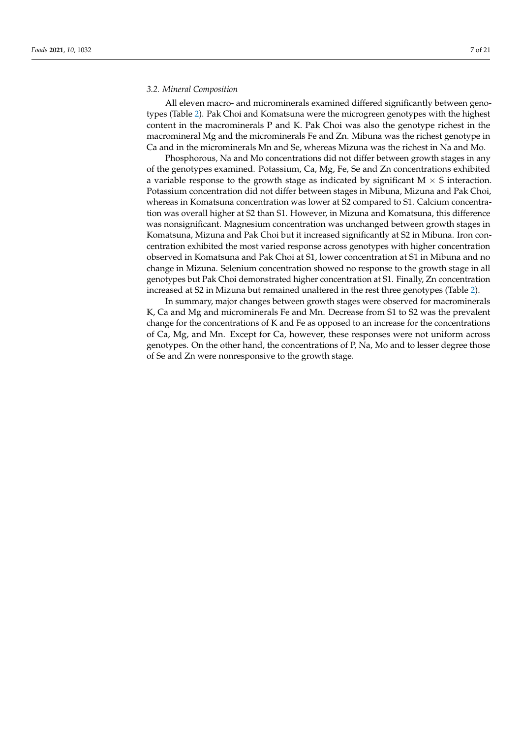#### *3.2. Mineral Composition*

All eleven macro- and microminerals examined differed significantly between genotypes (Table [2\)](#page-7-0). Pak Choi and Komatsuna were the microgreen genotypes with the highest content in the macrominerals P and K. Pak Choi was also the genotype richest in the macromineral Mg and the microminerals Fe and Zn. Mibuna was the richest genotype in Ca and in the microminerals Mn and Se, whereas Mizuna was the richest in Na and Mo.

Phosphorous, Na and Mo concentrations did not differ between growth stages in any of the genotypes examined. Potassium, Ca, Mg, Fe, Se and Zn concentrations exhibited a variable response to the growth stage as indicated by significant  $M \times S$  interaction. Potassium concentration did not differ between stages in Mibuna, Mizuna and Pak Choi, whereas in Komatsuna concentration was lower at S2 compared to S1. Calcium concentration was overall higher at S2 than S1. However, in Mizuna and Komatsuna, this difference was nonsignificant. Magnesium concentration was unchanged between growth stages in Komatsuna, Mizuna and Pak Choi but it increased significantly at S2 in Mibuna. Iron concentration exhibited the most varied response across genotypes with higher concentration observed in Komatsuna and Pak Choi at S1, lower concentration at S1 in Mibuna and no change in Mizuna. Selenium concentration showed no response to the growth stage in all genotypes but Pak Choi demonstrated higher concentration at S1. Finally, Zn concentration increased at S2 in Mizuna but remained unaltered in the rest three genotypes (Table [2\)](#page-7-0).

In summary, major changes between growth stages were observed for macrominerals K, Ca and Mg and microminerals Fe and Mn. Decrease from S1 to S2 was the prevalent change for the concentrations of K and Fe as opposed to an increase for the concentrations of Ca, Mg, and Mn. Except for Ca, however, these responses were not uniform across genotypes. On the other hand, the concentrations of P, Na, Mo and to lesser degree those of Se and Zn were nonresponsive to the growth stage.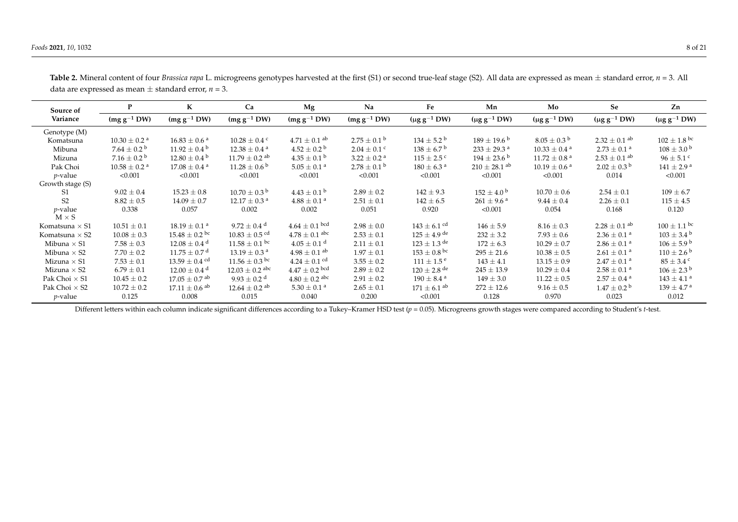| Source of             | P                            | K                             | Ca                            | Mg                           | Na                          | Fe                                                        | Mn                          | Mo                           | Se                           | Zn                         |  |
|-----------------------|------------------------------|-------------------------------|-------------------------------|------------------------------|-----------------------------|-----------------------------------------------------------|-----------------------------|------------------------------|------------------------------|----------------------------|--|
| Variance              | $(mg g^{-1} DW)$             | $(mg g^{-1} DW)$              | $(mg g^{-1} DW)$              | $(mg g^{-1} DW)$             | $(mg g^{-1} DW)$            | $(\mu g g^{-1} DW)$                                       | $(\mu g g^{-1} DW)$         | (µg $g^{-1}$ DW)             | $(\mu g g^{-1} DW)$          | $(\mu g g^{-1} D W)$       |  |
| Genotype (M)          |                              |                               |                               |                              |                             |                                                           |                             |                              |                              |                            |  |
| Komatsuna             | $10.30 \pm 0.2$ <sup>a</sup> | $16.83 \pm 0.6^{\text{ a}}$   | $10.28 \pm 0.4$ c             | $4.71 \pm 0.1$ <sup>ab</sup> | $2.75 \pm 0.1^{\circ}$      | $134 \pm 5.2^{\circ}$                                     | $189 \pm 19.6^{\mathrm{b}}$ | $8.05 \pm 0.3^{\circ}$       | $2.32 \pm 0.1$ <sup>ab</sup> | $102 \pm 1.8$ bc           |  |
| Mibuna                | $7.64 \pm 0.2^{\circ}$       | $11.92 \pm 0.4^{\mathrm{b}}$  | $12.38 \pm 0.4^{\text{ a}}$   | $4.52 \pm 0.2^{\circ}$       | $2.04 \pm 0.1$ c            | $138 \pm 6.7^{\mathrm{b}}$<br>$233 \pm 29.3$ <sup>a</sup> |                             | $10.33 \pm 0.4$ <sup>a</sup> | $2.73 \pm 0.1^{\text{a}}$    | $108 \pm 3.0^{\circ}$      |  |
| Mizuna                | $7.16 \pm 0.2^{\circ}$       | $12.80 \pm 0.4^{\mathrm{b}}$  | $11.79 \pm 0.2$ <sup>ab</sup> | $4.35 \pm 0.1^{\mathrm{b}}$  | $3.22 \pm 0.2$ <sup>a</sup> | $115 \pm 2.5$ c                                           | $194 \pm 23.6^{\circ}$      | $11.72 \pm 0.8$ <sup>a</sup> | $2.53 \pm 0.1$ ab            | $96 \pm 5.1$ c             |  |
| Pak Choi              | $10.58 \pm 0.2$ <sup>a</sup> | $17.08 \pm 0.4$ <sup>a</sup>  | $11.28 \pm 0.6^{\circ}$       | $5.05\pm0.1$ a               | $2.78 \pm 0.1^{\text{ b}}$  | $180 \pm 6.3$ <sup>a</sup>                                | $210 \pm 28.1$ ab           | $10.19 \pm 0.6$ <sup>a</sup> | $2.02 \pm 0.3$ <sup>b</sup>  | $141 \pm 2.9^{\text{ a}}$  |  |
| $p$ -value            | < 0.001                      | < 0.001                       | < 0.001                       | < 0.001                      | < 0.001                     | < 0.001                                                   | < 0.001                     | < 0.001                      | 0.014                        | < 0.001                    |  |
| Growth stage (S)      |                              |                               |                               |                              |                             |                                                           |                             |                              |                              |                            |  |
| S1                    | $9.02 \pm 0.4$               | $15.23 \pm 0.8$               | $10.70 \pm 0.3^{\mathrm{b}}$  | $4.43 \pm 0.1^{\circ}$       | $2.89 \pm 0.2$              | $142 \pm 9.3$                                             | $152 \pm 4.0^{\circ}$       | $10.70 \pm 0.6$              | $2.54 \pm 0.1$               | $109 \pm 6.7$              |  |
| S2                    | $8.82 \pm 0.5$               | $14.09 \pm 0.7$               | $12.17 \pm 0.3$ <sup>a</sup>  | $4.88 \pm 0.1$ <sup>a</sup>  | $2.51 \pm 0.1$              | $142 \pm 6.5$                                             | $261 \pm 9.6^{\text{ a}}$   | $9.44 \pm 0.4$               | $2.26 \pm 0.1$               | $115 \pm 4.5$              |  |
| $p$ -value            | 0.338                        | 0.057                         | 0.002                         | 0.002                        | 0.051                       | 0.920                                                     | < 0.001                     | 0.054                        |                              | 0.120                      |  |
| $M \times S$          |                              |                               |                               |                              |                             |                                                           |                             |                              |                              |                            |  |
| Komatsuna $\times$ S1 | $10.51 \pm 0.1$              | $18.19 \pm 0.1$ <sup>a</sup>  | 9.72 $\pm$ 0.4 <sup>d</sup>   | $4.64 \pm 0.1$ bcd           | $2.98 \pm 0.0$              | $143 \pm 6.1$ cd                                          | $146 \pm 5.9$               | $8.16 \pm 0.3$               | $2.28 \pm 0.1$ <sup>ab</sup> | $100 \pm 1.1$ bc           |  |
| Komatsuna $\times$ S2 | $10.08 \pm 0.3$              | $15.48 \pm 0.2$ bc            | $10.83 \pm 0.5$ <sup>cd</sup> | $4.78 \pm 0.1$ abc           | $2.53 \pm 0.1$              | $125 \pm 4.9$ de                                          | $232 \pm 3.2$               | $7.93 \pm 0.6$               | $2.36 \pm 0.1$ <sup>a</sup>  | $103 \pm 3.4^{\circ}$      |  |
| Mibuna $\times$ S1    | $7.58 \pm 0.3$               | $12.08 \pm 0.4$ <sup>d</sup>  | $11.58 \pm 0.1$ bc            | $4.05 \pm 0.1$ <sup>d</sup>  | $2.11 \pm 0.1$              | $123 \pm 1.3$ de<br>$172 \pm 6.3$                         |                             | $10.29 \pm 0.7$              | $2.86 \pm 0.1$ <sup>a</sup>  | $106 \pm 5.9^{\circ}$      |  |
| Mibuna $\times$ S2    | $7.70 \pm 0.2$               | $11.75 \pm 0.7$ <sup>d</sup>  | $13.19 \pm 0.3$ <sup>a</sup>  | $4.98 \pm 0.1$ <sup>ab</sup> | $1.97 \pm 0.1$              | $153 \pm 0.8$ bc                                          | $295 \pm 21.6$              | $10.38 \pm 0.5$              | $2.61 \pm 0.1$ <sup>a</sup>  | $110 \pm 2.6^{\circ}$      |  |
| Mizuna $\times$ S1    | $7.53 \pm 0.1$               | $13.59 \pm 0.4$ cd            | $11.56 \pm 0.3$ bc            | $4.24 \pm 0.1$ cd            | $3.55 \pm 0.2$              | $111 \pm 1.5^{\circ}$                                     | $143 \pm 4.1$               | $13.15 \pm 0.9$              | $2.47 \pm 0.1$ <sup>a</sup>  | $85 \pm 3.4$ c             |  |
| Mizuna $\times$ S2    | $6.79 \pm 0.1$               | $12.00 \pm 0.4$ <sup>d</sup>  | $12.03 \pm 0.2$ abc           | $4.47 \pm 0.2$ bcd           | $2.89 \pm 0.2$              | $120 \pm 2.8$ de                                          | $245 \pm 13.9$              | $10.29 \pm 0.4$              | $2.58 \pm 0.1$ <sup>a</sup>  | $106 \pm 2.3^{\circ}$      |  |
| Pak Choi $\times$ S1  | $10.45 \pm 0.2$              | $17.05 \pm 0.7$ <sup>ab</sup> | $9.93 \pm 0.2$ <sup>d</sup>   | $4.80 \pm 0.2$ abc           | $2.91 \pm 0.2$              | $190 \pm 8.4$ <sup>a</sup>                                | $149 \pm 3.0$               | $11.22 \pm 0.5$              | $2.57 \pm 0.4$ <sup>a</sup>  | $143 \pm 4.1$ <sup>a</sup> |  |
| Pak Choi $\times$ S2  | $10.72 \pm 0.2$              | $17.11 \pm 0.6$ <sup>ab</sup> | $12.64 \pm 0.2$ <sup>ab</sup> | $5.30 \pm 0.1$ <sup>a</sup>  | $2.65 \pm 0.1$              | $171 \pm 6.1$ <sup>ab</sup>                               | $272 \pm 12.6$              | $9.16 \pm 0.5$               | $1.47 \pm 0.2^{\mathrm{b}}$  | $139 \pm 4.7^{\text{ a}}$  |  |
| $p$ -value            | 0.125                        | 0.008                         | 0.015                         | 0.040                        | 0.200                       | < 0.001                                                   | 0.128                       | 0.970                        | 0.023                        | 0.012                      |  |

Table 2. Mineral content of four *Brassica rapa* L. microgreens genotypes harvested at the first (S1) or second true-leaf stage (S2). All data are expressed as mean  $\pm$  standard error,  $n = 3$ . All data are expressed as mean  $\pm$  standard error,  $n = 3$ .

<span id="page-7-0"></span>Different letters within each column indicate significant differences according to a Tukey–Kramer HSD test (*p* = 0.05). Microgreens growth stages were compared according to Student's *t*-test.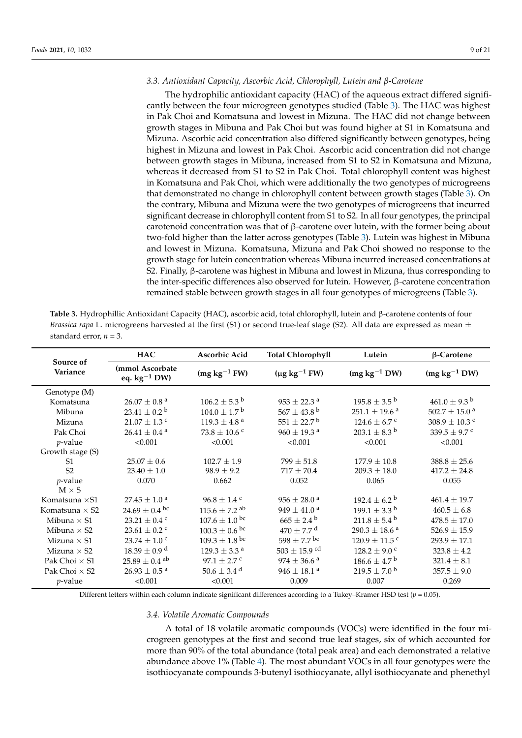#### *3.3. Antioxidant Capacity, Ascorbic Acid, Chlorophyll, Lutein and β-Carotene*

The hydrophilic antioxidant capacity (HAC) of the aqueous extract differed significantly between the four microgreen genotypes studied (Table [3\)](#page-8-0). The HAC was highest in Pak Choi and Komatsuna and lowest in Mizuna. The HAC did not change between growth stages in Mibuna and Pak Choi but was found higher at S1 in Komatsuna and Mizuna. Ascorbic acid concentration also differed significantly between genotypes, being highest in Mizuna and lowest in Pak Choi. Ascorbic acid concentration did not change between growth stages in Mibuna, increased from S1 to S2 in Komatsuna and Mizuna, whereas it decreased from S1 to S2 in Pak Choi. Total chlorophyll content was highest in Komatsuna and Pak Choi, which were additionally the two genotypes of microgreens that demonstrated no change in chlorophyll content between growth stages (Table [3\)](#page-8-0). On the contrary, Mibuna and Mizuna were the two genotypes of microgreens that incurred significant decrease in chlorophyll content from S1 to S2. In all four genotypes, the principal carotenoid concentration was that of β-carotene over lutein, with the former being about two-fold higher than the latter across genotypes (Table [3\)](#page-8-0). Lutein was highest in Mibuna and lowest in Mizuna. Komatsuna, Mizuna and Pak Choi showed no response to the growth stage for lutein concentration whereas Mibuna incurred increased concentrations at S2. Finally, β-carotene was highest in Mibuna and lowest in Mizuna, thus corresponding to the inter-specific differences also observed for lutein. However, β-carotene concentration remained stable between growth stages in all four genotypes of microgreens (Table [3\)](#page-8-0).

<span id="page-8-0"></span>

| Table 3. Hydrophillic Antioxidant Capacity (HAC), ascorbic acid, total chlorophyll, lutein and $\beta$ -carotene contents of four    |
|--------------------------------------------------------------------------------------------------------------------------------------|
| <i>Brassica rapa</i> L. microgreens harvested at the first (S1) or second true-leaf stage (S2). All data are expressed as mean $\pm$ |
| standard error, $n = 3$ .                                                                                                            |

|                       | <b>HAC</b>                           | Ascorbic Acid                 | <b>Total Chlorophyll</b>    | Lutein                        | $\beta$ -Carotene             |
|-----------------------|--------------------------------------|-------------------------------|-----------------------------|-------------------------------|-------------------------------|
| Source of<br>Variance | (mmol Ascorbate<br>eq. $kg^{-1}$ DW) | $(mg kg-1 FW)$                | $(\mu g kg^{-1} FW)$        | $(mg kg^{-1} DW)$             | $(mg kg^{-1} DW)$             |
| Genotype (M)          |                                      |                               |                             |                               |                               |
| Komatsuna             | $26.07 \pm 0.8$ <sup>a</sup>         | $106.2 \pm 5.3^{\circ}$       | $953 \pm 22.3$ <sup>a</sup> | $195.8 \pm 3.5^{\mathrm{b}}$  | $461.0 \pm 9.3^{\mathrm{b}}$  |
| Mibuna                | $23.41 \pm 0.2^{\text{ b}}$          | $104.0 \pm 1.7^{\mathrm{b}}$  | $567 \pm 43.8^{\text{ b}}$  | $251.1 \pm 19.6$ <sup>a</sup> | $502.7 \pm 15.0$ <sup>a</sup> |
| Mizuna                | $21.07 \pm 1.3$ c                    | $119.3 \pm 4.8$ <sup>a</sup>  | $551 \pm 22.7^{\mathrm{b}}$ | $124.6 \pm 6.7$ c             | $308.9 \pm 10.3$ c            |
| Pak Choi              | $26.41 \pm 0.4$ <sup>a</sup>         | $73.8 \pm 10.6$ c             | $960 \pm 19.3$ <sup>a</sup> | $203.1 \pm 8.3^{\mathrm{b}}$  | 339.5 $\pm$ 9.7 °             |
| $p$ -value            | < 0.001                              | < 0.001                       | < 0.001                     | < 0.001                       | < 0.001                       |
| Growth stage (S)      |                                      |                               |                             |                               |                               |
| S <sub>1</sub>        | $25.07 \pm 0.6$                      | $102.7 \pm 1.9$               | $799 \pm 51.8$              | $177.9 \pm 10.8$              | $388.8 \pm 25.6$              |
| S <sub>2</sub>        | $23.40 \pm 1.0$                      | $98.9 \pm 9.2$                | $717 \pm 70.4$              | $209.3 \pm 18.0$              | $417.2 \pm 24.8$              |
| $p$ -value            | 0.070                                | 0.662                         | 0.052                       | 0.065                         | 0.055                         |
| $M \times S$          |                                      |                               |                             |                               |                               |
| Komatsuna × S1        | $27.45 \pm 1.0^{\text{ a}}$          | $96.8 \pm 1.4$ c              | $956 \pm 28.0^{\text{ a}}$  | $192.4 \pm 6.2^{\circ}$       | $461.4 \pm 19.7$              |
| Komatsuna $\times$ S2 | $24.69 \pm 0.4$ bc                   | $115.6 \pm 7.2$ <sup>ab</sup> | $949 \pm 41.0^{\text{ a}}$  | $199.1 \pm 3.3^{\mathrm{b}}$  | $460.5 \pm 6.8$               |
| Mibuna $\times$ S1    | $23.21 \pm 0.4$ <sup>c</sup>         | $107.6 \pm 1.0^{\circ}$       | $665 \pm 2.4^{\circ}$       | $211.8 \pm 5.4^{\mathrm{b}}$  | $478.5 \pm 17.0$              |
| Mibuna $\times$ S2    | 23.61 $\pm$ 0.2 $^{\circ}$           | $100.3 \pm 0.6$ bc            | $470 \pm 7.7$ <sup>d</sup>  | $290.3 \pm 18.6$ <sup>a</sup> | $526.9 \pm 15.9$              |
| Mizuna $\times$ S1    | $23.74 \pm 1.0$ c                    | $109.3 \pm 1.8$ bc            | $598 \pm 7.7$ bc            | $120.9 \pm 11.5$ <sup>c</sup> | $293.9 \pm 17.1$              |
| Mizuna $\times$ S2    | $18.39 \pm 0.9$ <sup>d</sup>         | $129.3\pm3.3$ $^{\rm a}$      | $503 \pm 15.9$ cd           | $128.2 \pm 9.0$ c             | $323.8 \pm 4.2$               |
| Pak Choi $\times$ S1  | $25.89 \pm 0.4$ ab                   | $97.1 + 2.7$ c                | $974 \pm 36.6$ <sup>a</sup> | $186.6 \pm 4.7^{\mathrm{b}}$  | $321.4 \pm 8.1$               |
| Pak Choi $\times$ S2  | $26.93\pm0.5$ a                      | $50.6\pm3.4$ $^{\rm d}$       | $946\pm18.1$ $^{\rm a}$     | $219.5 \pm 7.0^{\mathrm{b}}$  | $357.5 \pm 9.0$               |
| $p$ -value            | < 0.001                              | < 0.001                       | 0.009                       | 0.007                         | 0.269                         |

Different letters within each column indicate significant differences according to a Tukey–Kramer HSD test  $(p = 0.05)$ .

*3.4. Volatile Aromatic Compounds*

A total of 18 volatile aromatic compounds (VOCs) were identified in the four microgreen genotypes at the first and second true leaf stages, six of which accounted for more than 90% of the total abundance (total peak area) and each demonstrated a relative abundance above 1% (Table [4\)](#page-9-0). The most abundant VOCs in all four genotypes were the isothiocyanate compounds 3-butenyl isothiocyanate, allyl isothiocyanate and phenethyl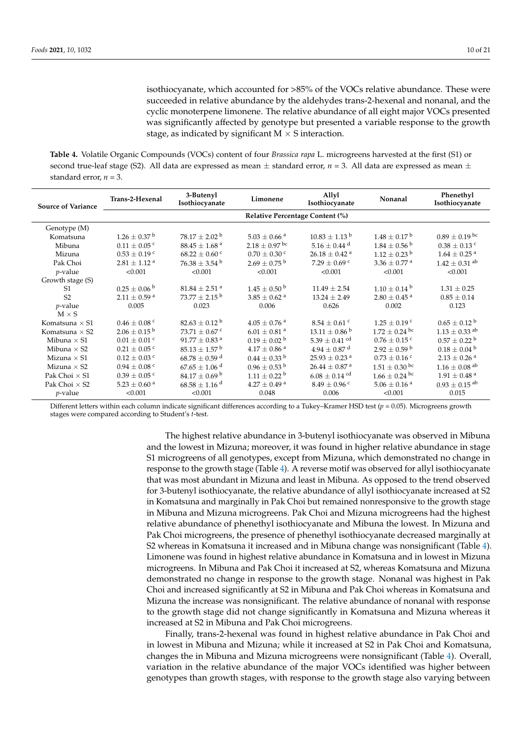isothiocyanate, which accounted for >85% of the VOCs relative abundance. These were succeeded in relative abundance by the aldehydes trans-2-hexenal and nonanal, and the cyclic monoterpene limonene. The relative abundance of all eight major VOCs presented was significantly affected by genotype but presented a variable response to the growth stage, as indicated by significant  $M \times S$  interaction.

<span id="page-9-0"></span>**Table 4.** Volatile Organic Compounds (VOCs) content of four *Brassica rapa* L. microgreens harvested at the first (S1) or second true-leaf stage (S2). All data are expressed as mean  $\pm$  standard error,  $n = 3$ . All data are expressed as mean  $\pm$ standard error,  $n = 3$ .

| <b>Source of Variance</b> | Trans-2-Hexenal                 | 3-Butenyl<br>Isothiocyanate   | Limonene                     | Allyl<br>Isothiocyanate       | Nonanal                      | Phenethyl<br>Isothiocyanate   |  |  |  |  |  |  |  |
|---------------------------|---------------------------------|-------------------------------|------------------------------|-------------------------------|------------------------------|-------------------------------|--|--|--|--|--|--|--|
|                           | Relative Percentage Content (%) |                               |                              |                               |                              |                               |  |  |  |  |  |  |  |
| Genotype (M)              |                                 |                               |                              |                               |                              |                               |  |  |  |  |  |  |  |
| Komatsuna                 | $1.26 \pm 0.37$ <sup>b</sup>    | $78.17 \pm 2.02^{\mathrm{b}}$ | $5.03 \pm 0.66$ <sup>a</sup> | $10.83 \pm 1.13$ <sup>b</sup> | $1.48 \pm 0.17^{\text{ b}}$  | $0.89 \pm 0.19$ bc            |  |  |  |  |  |  |  |
| Mibuna                    | $0.11 \pm 0.05$ c               | $88.45 \pm 1.68$ <sup>a</sup> | $2.18 \pm 0.97$ bc           | $5.16 \pm 0.44$ <sup>d</sup>  | $1.84 \pm 0.56^{\mathrm{b}}$ | $0.38 \pm 0.13$ c             |  |  |  |  |  |  |  |
| Mizuna                    | $0.53 \pm 0.19$ c               | $68.22 \pm 0.60$ c            | $0.70\pm0.30$ c              | $26.18\pm0.42$ $^{\rm a}$     | $1.12 \pm 0.23$ <sup>b</sup> | $1.64 \pm 0.25$ <sup>a</sup>  |  |  |  |  |  |  |  |
| Pak Choi                  | $2.81\pm1.12$ $^{\rm a}$        | $76.38 \pm 3.54^{\mathrm{b}}$ | $2.69 \pm 0.75^{\mathrm{b}}$ | $7.29 \pm 0.69$ c             | $3.36 \pm 0.77$ <sup>a</sup> | $1.42 \pm 0.31$ <sup>ab</sup> |  |  |  |  |  |  |  |
| $p$ -value                | < 0.001                         | < 0.001                       | < 0.001                      | < 0.001                       | < 0.001                      | < 0.001                       |  |  |  |  |  |  |  |
| Growth stage (S)          |                                 |                               |                              |                               |                              |                               |  |  |  |  |  |  |  |
| S <sub>1</sub>            | $0.25 \pm 0.06^{\mathrm{b}}$    | $81.84 \pm 2.51$ <sup>a</sup> | $1.45 \pm 0.50^{\circ}$      | $11.49 \pm 2.54$              | $1.10 \pm 0.14^{\mathrm{b}}$ | $1.31 \pm 0.25$               |  |  |  |  |  |  |  |
| S <sub>2</sub>            | $2.11 \pm 0.59$ <sup>a</sup>    | $73.77 \pm 2.15^{\mathrm{b}}$ | $3.85 \pm 0.62$ <sup>a</sup> | $13.24 \pm 2.49$              | $2.80 \pm 0.45$ <sup>a</sup> | $0.85 \pm 0.14$               |  |  |  |  |  |  |  |
| $p$ -value                | 0.005                           | 0.023                         | 0.006                        | 0.626                         | 0.002                        | 0.123                         |  |  |  |  |  |  |  |
| $M \times S$              |                                 |                               |                              |                               |                              |                               |  |  |  |  |  |  |  |
| Komatsuna $\times$ S1     | $0.46 \pm 0.08$ <sup>c</sup>    | $82.63 \pm 0.12^{\circ}$      | $4.05 \pm 0.76$ <sup>a</sup> | $8.54 \pm 0.61$ c             | $1.25 \pm 0.19$ c            | $0.65 \pm 0.12^{\text{ b}}$   |  |  |  |  |  |  |  |
| Komatsuna $\times$ S2     | $2.06 \pm 0.15^{\text{ b}}$     | 73.71 $\pm$ 0.67 °            | $6.01 \pm 0.81$ <sup>a</sup> | $13.11 \pm 0.86^{\circ}$      | $1.72 \pm 0.24$ bc           | $1.13 \pm 0.33$ <sup>ab</sup> |  |  |  |  |  |  |  |
| Mibuna $\times$ S1        | $0.01\pm0.01$ $^{\rm c}$        | $91.77\pm0.83$ $^{\rm a}$     | $0.19 \pm 0.02$ <sup>b</sup> | $5.39 \pm 0.41$ cd            | $0.76 \pm 0.15$ c            | $0.57 \pm 0.22$ <sup>b</sup>  |  |  |  |  |  |  |  |
| Mibuna $\times$ S2        | $0.21 \pm 0.05$ c               | $85.13 \pm 1.57$ <sup>b</sup> | $4.17 \pm 0.86$ <sup>a</sup> | $4.94 \pm 0.87$ <sup>d</sup>  | $2.92 \pm 0.59^{\mathrm{b}}$ | $0.18 \pm 0.04^{\text{ b}}$   |  |  |  |  |  |  |  |
| Mizuna $\times$ S1        | $0.12 \pm 0.03$ c               | $68.78 \pm 0.59$ <sup>d</sup> | $0.44 \pm 0.33$ b            | $25.93 \pm 0.23$ <sup>a</sup> | $0.73 \pm 0.16$ c            | $2.13 \pm 0.26$ <sup>a</sup>  |  |  |  |  |  |  |  |
| Mizuna $\times$ S2        | $0.94 \pm 0.08$ <sup>c</sup>    | $67.65 \pm 1.06$ <sup>d</sup> | $0.96 \pm 0.53$ <sup>b</sup> | $26.44 \pm 0.87$ <sup>a</sup> | $1.51 \pm 0.30$ bc           | $1.16 \pm 0.08$ <sup>ab</sup> |  |  |  |  |  |  |  |
| Pak Choi $\times$ S1      | $0.39 \pm 0.05$ c               | $84.17 \pm 0.69^{\mathrm{b}}$ | $1.11 \pm 0.22$ <sup>b</sup> | $6.08 \pm 0.14$ <sup>cd</sup> | $1.66 \pm 0.24$ bc           | $1.91 \pm 0.48$ <sup>a</sup>  |  |  |  |  |  |  |  |
| Pak Choi $\times$ S2      | $5.23 \pm 0.60$ <sup>a</sup>    | $68.58 \pm 1.16$ <sup>d</sup> | $4.27 \pm 0.49$ <sup>a</sup> | $8.49 \pm 0.96$ <sup>c</sup>  | $5.06\pm0.16$ $^{\rm a}$     | $0.93 \pm 0.15$ <sup>ab</sup> |  |  |  |  |  |  |  |
| $p$ -value                | < 0.001                         | < 0.001                       | 0.048                        | 0.006                         | < 0.001                      | 0.015                         |  |  |  |  |  |  |  |

Different letters within each column indicate significant differences according to a Tukey–Kramer HSD test (*p* = 0.05). Microgreens growth stages were compared according to Student's *t*-test.

> The highest relative abundance in 3-butenyl isothiocyanate was observed in Mibuna and the lowest in Mizuna; moreover, it was found in higher relative abundance in stage S1 microgreens of all genotypes, except from Mizuna, which demonstrated no change in response to the growth stage (Table [4\)](#page-9-0). A reverse motif was observed for allyl isothiocyanate that was most abundant in Mizuna and least in Mibuna. As opposed to the trend observed for 3-butenyl isothiocyanate, the relative abundance of allyl isothiocyanate increased at S2 in Komatsuna and marginally in Pak Choi but remained nonresponsive to the growth stage in Mibuna and Mizuna microgreens. Pak Choi and Mizuna microgreens had the highest relative abundance of phenethyl isothiocyanate and Mibuna the lowest. In Mizuna and Pak Choi microgreens, the presence of phenethyl isothiocyanate decreased marginally at S2 whereas in Komatsuna it increased and in Mibuna change was nonsignificant (Table [4\)](#page-9-0). Limonene was found in highest relative abundance in Komatsuna and in lowest in Mizuna microgreens. In Mibuna and Pak Choi it increased at S2, whereas Komatsuna and Mizuna demonstrated no change in response to the growth stage. Nonanal was highest in Pak Choi and increased significantly at S2 in Mibuna and Pak Choi whereas in Komatsuna and Mizuna the increase was nonsignificant. The relative abundance of nonanal with response to the growth stage did not change significantly in Komatsuna and Mizuna whereas it increased at S2 in Mibuna and Pak Choi microgreens.

> Finally, trans-2-hexenal was found in highest relative abundance in Pak Choi and in lowest in Mibuna and Mizuna; while it increased at S2 in Pak Choi and Komatsuna, changes the in Mibuna and Mizuna microgreens were nonsignificant (Table [4\)](#page-9-0). Overall, variation in the relative abundance of the major VOCs identified was higher between genotypes than growth stages, with response to the growth stage also varying between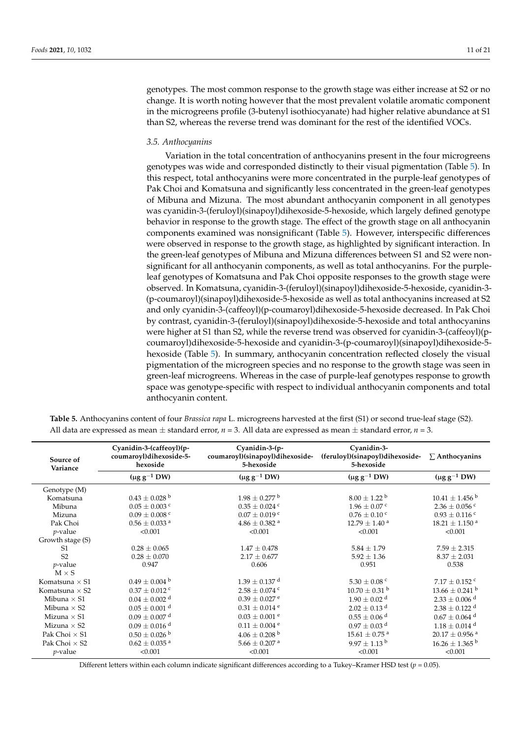genotypes. The most common response to the growth stage was either increase at S2 or no change. It is worth noting however that the most prevalent volatile aromatic component in the microgreens profile (3-butenyl isothiocyanate) had higher relative abundance at S1 than S2, whereas the reverse trend was dominant for the rest of the identified VOCs.

#### *3.5. Anthocyanins*

Variation in the total concentration of anthocyanins present in the four microgreens genotypes was wide and corresponded distinctly to their visual pigmentation (Table [5\)](#page-10-0). In this respect, total anthocyanins were more concentrated in the purple-leaf genotypes of Pak Choi and Komatsuna and significantly less concentrated in the green-leaf genotypes of Mibuna and Mizuna. The most abundant anthocyanin component in all genotypes was cyanidin-3-(feruloyl)(sinapoyl)dihexoside-5-hexoside, which largely defined genotype behavior in response to the growth stage. The effect of the growth stage on all anthocyanin components examined was nonsignificant (Table [5\)](#page-10-0). However, interspecific differences were observed in response to the growth stage, as highlighted by significant interaction. In the green-leaf genotypes of Mibuna and Mizuna differences between S1 and S2 were nonsignificant for all anthocyanin components, as well as total anthocyanins. For the purpleleaf genotypes of Komatsuna and Pak Choi opposite responses to the growth stage were observed. In Komatsuna, cyanidin-3-(feruloyl)(sinapoyl)dihexoside-5-hexoside, cyanidin-3- (p-coumaroyl)(sinapoyl)dihexoside-5-hexoside as well as total anthocyanins increased at S2 and only cyanidin-3-(caffeoyl)(p-coumaroyl)dihexoside-5-hexoside decreased. In Pak Choi by contrast, cyanidin-3-(feruloyl)(sinapoyl)dihexoside-5-hexoside and total anthocyanins were higher at S1 than S2, while the reverse trend was observed for cyanidin-3-(caffeoyl)(pcoumaroyl)dihexoside-5-hexoside and cyanidin-3-(p-coumaroyl)(sinapoyl)dihexoside-5 hexoside (Table [5\)](#page-10-0). In summary, anthocyanin concentration reflected closely the visual pigmentation of the microgreen species and no response to the growth stage was seen in green-leaf microgreens. Whereas in the case of purple-leaf genotypes response to growth space was genotype-specific with respect to individual anthocyanin components and total anthocyanin content.

| Source of<br>Variance | Cyanidin-3-(caffeoyl)(p-<br>coumaroyl)dihexoside-5-<br>hexoside | Cyanidin-3-(p-<br>coumaroyl)(sinapoyl)dihexoside-<br>5-hexoside | Cyanidin-3-<br>(feruloyl)(sinapoyl)dihexoside-<br>5-hexoside | $\Sigma$ Anthocyanins          |  |  |
|-----------------------|-----------------------------------------------------------------|-----------------------------------------------------------------|--------------------------------------------------------------|--------------------------------|--|--|
|                       | $(\mu g g^{-1} D W)$                                            | $(\mu g g^{-1} D W)$                                            | $(\mu g g^{-1} DW)$                                          | $(\mu g g^{-1} DW)$            |  |  |
| Genotype (M)          |                                                                 |                                                                 |                                                              |                                |  |  |
| Komatsuna             | $0.43 \pm 0.028$ b                                              | $1.98 \pm 0.277$ b                                              | $8.00 \pm 1.22$ b                                            | $10.41 \pm 1.456$ b            |  |  |
| Mibuna                | $0.05 \pm 0.003$ c                                              | $0.35 \pm 0.024$ <sup>c</sup>                                   | $1.96 \pm 0.07$ c                                            | $2.36 \pm 0.056$ c             |  |  |
| Mizuna                | $0.09 \pm 0.008$ c                                              | $0.07 \pm 0.019$ c                                              | $0.76 \pm 0.10$ c                                            | $0.93 \pm 0.116$ <sup>c</sup>  |  |  |
| Pak Choi              | $0.56 \pm 0.033$ <sup>a</sup>                                   | $4.86 \pm 0.382$ <sup>a</sup>                                   | $12.79 \pm 1.40^{\text{ a}}$                                 | $18.21 \pm 1.150$ <sup>a</sup> |  |  |
| $p$ -value            | < 0.001                                                         | < 0.001                                                         | < 0.001                                                      | < 0.001                        |  |  |
| Growth stage (S)      |                                                                 |                                                                 |                                                              |                                |  |  |
| S <sub>1</sub>        | $0.28 \pm 0.065$                                                | $1.47 \pm 0.478$                                                | $5.84 \pm 1.79$                                              | $7.59 \pm 2.315$               |  |  |
| S <sub>2</sub>        | $0.28 \pm 0.070$                                                | $2.17 \pm 0.677$                                                | $5.92 \pm 1.36$                                              | $8.37 \pm 2.031$               |  |  |
| $p$ -value            | 0.947                                                           | 0.606                                                           | 0.951                                                        | 0.538                          |  |  |
| $M \times S$          |                                                                 |                                                                 |                                                              |                                |  |  |
| Komatsuna $\times$ S1 | $0.49\pm0.004$ $^{\rm b}$                                       | $1.39 \pm 0.137$ <sup>d</sup>                                   | $5.30 \pm 0.08$ c                                            | $7.17 \pm 0.152$ <sup>c</sup>  |  |  |
| Komatsuna $\times$ S2 | $0.37 \pm 0.012$ c                                              | $2.58 \pm 0.074$ c                                              | $10.70 \pm 0.31$ <sup>b</sup>                                | $13.66 \pm 0.241$ <sup>b</sup> |  |  |
| Mibuna $\times$ S1    | $0.04 \pm 0.002$ <sup>d</sup>                                   | $0.39 \pm 0.027$ <sup>e</sup>                                   | $1.90 \pm 0.02$ <sup>d</sup>                                 | $2.33 \pm 0.006$ <sup>d</sup>  |  |  |
| Mibuna $\times$ S2    | $0.05 \pm 0.001$ <sup>d</sup>                                   | $0.31\pm0.014$ e                                                | $2.02 \pm 0.13$ <sup>d</sup>                                 | $2.38 \pm 0.122$ <sup>d</sup>  |  |  |
| Mizuna $\times$ S1    | $0.09 \pm 0.007$ <sup>d</sup>                                   | $0.03 \pm 0.001$ <sup>e</sup>                                   | $0.55 \pm 0.06$ <sup>d</sup>                                 | $0.67 \pm 0.064$ <sup>d</sup>  |  |  |
| Mizuna $\times$ S2    | $0.09 \pm 0.016$ <sup>d</sup>                                   | $0.11 \pm 0.004$ <sup>e</sup>                                   | $0.97\pm0.03$ $^{\rm d}$                                     | $1.18 \pm 0.014$ <sup>d</sup>  |  |  |
| Pak Choi $\times$ S1  | $0.50 \pm 0.026$ b                                              | $4.06 \pm 0.208$ b                                              | $15.61 \pm 0.75$ <sup>a</sup>                                | $20.17 \pm 0.956$ <sup>a</sup> |  |  |
| Pak Choi $\times$ S2  | $0.62 \pm 0.035$ <sup>a</sup>                                   | $5.66 \pm 0.207$ <sup>a</sup>                                   | $9.97 \pm 1.13^{\mathrm{b}}$                                 | $16.26 \pm 1.365^{\text{ b}}$  |  |  |
| $p$ -value            | < 0.001                                                         | < 0.001                                                         | < 0.001                                                      | < 0.001                        |  |  |

<span id="page-10-0"></span>**Table 5.** Anthocyanins content of four *Brassica rapa* L. microgreens harvested at the first (S1) or second true-leaf stage (S2). All data are expressed as mean  $\pm$  standard error,  $n = 3$ . All data are expressed as mean  $\pm$  standard error,  $n = 3$ .

Different letters within each column indicate significant differences according to a Tukey–Kramer HSD test (*p* = 0.05).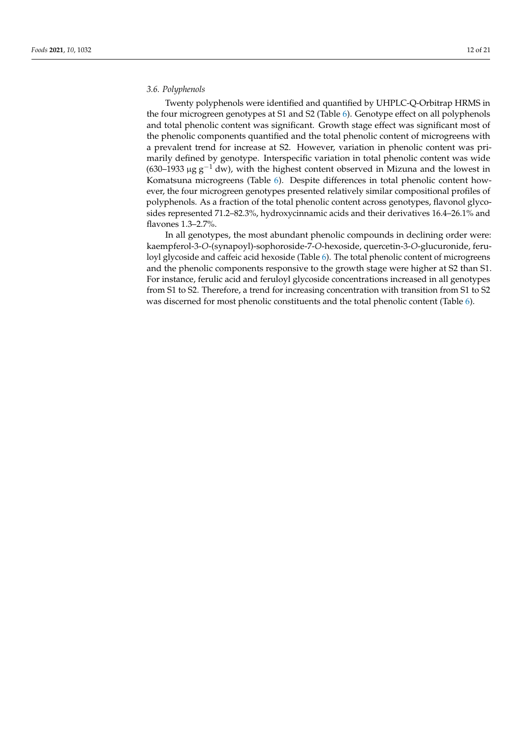#### *3.6. Polyphenols*

Twenty polyphenols were identified and quantified by UHPLC-Q-Orbitrap HRMS in the four microgreen genotypes at S1 and S2 (Table [6\)](#page-12-0). Genotype effect on all polyphenols and total phenolic content was significant. Growth stage effect was significant most of the phenolic components quantified and the total phenolic content of microgreens with a prevalent trend for increase at S2. However, variation in phenolic content was primarily defined by genotype. Interspecific variation in total phenolic content was wide (630–1933 µg  $g^{-1}$  dw), with the highest content observed in Mizuna and the lowest in Komatsuna microgreens (Table [6\)](#page-12-0). Despite differences in total phenolic content however, the four microgreen genotypes presented relatively similar compositional profiles of polyphenols. As a fraction of the total phenolic content across genotypes, flavonol glycosides represented 71.2–82.3%, hydroxycinnamic acids and their derivatives 16.4–26.1% and flavones 1.3–2.7%.

In all genotypes, the most abundant phenolic compounds in declining order were: kaempferol-3-*O*-(synapoyl)-sophoroside-7-*O*-hexoside, quercetin-3-*O*-glucuronide, feruloyl glycoside and caffeic acid hexoside (Table [6\)](#page-12-0). The total phenolic content of microgreens and the phenolic components responsive to the growth stage were higher at S2 than S1. For instance, ferulic acid and feruloyl glycoside concentrations increased in all genotypes from S1 to S2. Therefore, a trend for increasing concentration with transition from S1 to S2 was discerned for most phenolic constituents and the total phenolic content (Table [6\)](#page-12-0).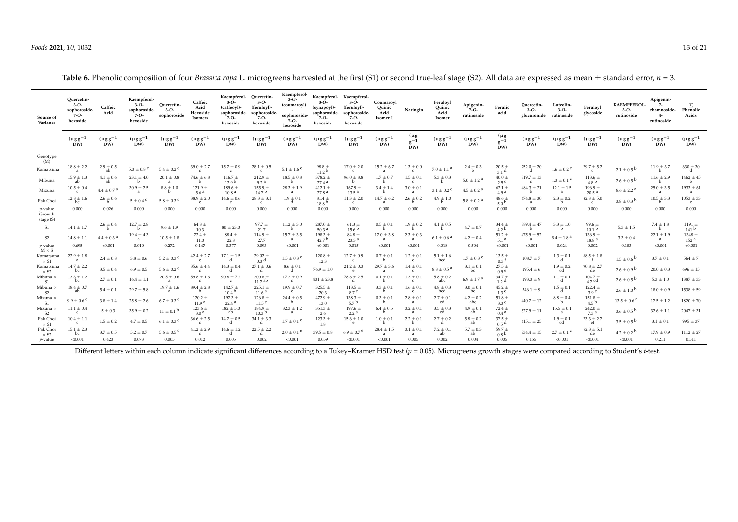| Source of<br>Variance                | Ouercetin-<br>$3 - 0 -$<br>sophoroside-<br>$7 - 0 -$<br>hexoside | Caffeic<br>Acid          | Kaempferol-<br>$3 - O -$<br>sophoroside-<br>$7 - O -$<br>hexoside | Ouercetin-<br>$3 - O -$<br>sophoroside | Caffeic<br>Acid<br>Hexoside<br>Isomers | Kaempferol-<br>$3 - O -$<br>(caffeoyl)-<br>sophoroside-<br>$7 - O -$<br>hexoside | Ouercetin-<br>$3 - O -$<br>(feruloyl)-<br>sophoroside-<br>$7 - O -$<br>hexoside | Kaempferol-<br>$3 - O -$<br>(coumaroyl)<br>sophoroside-<br>7-0-<br>hexoside | Kaempferol-<br>$3 - O -$<br>(synapoyl)-<br>sophoroside-<br>$7 - O -$<br>hexoside | Kaempferol-<br>$3 - O -$<br>(feruloyl)-<br>sophoroside-<br>$7 - O -$<br>hexoside | Coumaroyl<br>Ouinic<br>Acid<br>Isomer <sub>1</sub> | Naringin                        | Feruloyl<br>Ouinic<br>Acid<br>Isomer | Apigenin-<br>7-O-<br>rutinoside | Ferulic<br>acid                  | Ouercetin-<br>$3-O-$<br>glucuronide rutinoside | Luteolin-<br>$3 - O -$         | Feruloyl<br>glycoside           | <b>KAEMPFEROL-</b><br>$3 - O -$<br>rutinoside | Apigenin-<br>$7-$<br>rhamnoside-<br>$4-$<br>rutinoside | Σ<br>Phenolic<br>Acids         |
|--------------------------------------|------------------------------------------------------------------|--------------------------|-------------------------------------------------------------------|----------------------------------------|----------------------------------------|----------------------------------------------------------------------------------|---------------------------------------------------------------------------------|-----------------------------------------------------------------------------|----------------------------------------------------------------------------------|----------------------------------------------------------------------------------|----------------------------------------------------|---------------------------------|--------------------------------------|---------------------------------|----------------------------------|------------------------------------------------|--------------------------------|---------------------------------|-----------------------------------------------|--------------------------------------------------------|--------------------------------|
|                                      | $(\mu$ gg <sup>-1</sup><br>DW)                                   | $(\mu g g^{-1})$<br>DW)  | $(\mu g g^{-1})$<br>DW)                                           | $(\mu g g^{-1})$<br>DW)                | $(\mu g g^{-1})$<br>DW)                | $(\mu$ gg <sup>-1</sup><br>DW)                                                   | $(\mu$ gg <sup>-1</sup><br>DW)                                                  | $(\mu$ gg <sup>-1</sup><br>DW)                                              | $(\mu g g^{-1})$<br>DW)                                                          | $(\mu g g^{-1})$<br>DW)                                                          | $(\mu g g^{-1})$<br>DW)                            | $(\mu g)$<br>$g^{-1}$<br>DW)    | $(\mu$ g g <sup>-1</sup><br>DW)      | $(\mu g g^{-1})$<br>DW)         | $(\mu g)$<br>$n^{-1}$<br>DW)     | $(\mu g g^{-1})$<br>DW)                        | $(\mu$ gg <sup>-1</sup><br>DW) | $(\mu g g^{-1})$<br>DW)         | $(\mu$ g g <sup>-1</sup><br>DW)               | $(\mu g g^{-1})$<br>DW)                                | $(\mu g g^{-1})$<br>DW)        |
| Genotype<br>(M)                      |                                                                  |                          |                                                                   |                                        |                                        |                                                                                  |                                                                                 |                                                                             |                                                                                  |                                                                                  |                                                    |                                 |                                      |                                 |                                  |                                                |                                |                                 |                                               |                                                        |                                |
| Komatsuna                            | $18.8 \pm 2.2$<br>$\overline{a}$                                 | $2.9 \pm 0.5$<br>ab      | 5.3 $\pm$ 0.8 <sup>c</sup>                                        | $5.4 \pm 0.2$ C                        | $39.0 \pm 2.7$<br>$\mathbf{c}$         | $15.7 \pm 0.9$<br>$\mathbf{c}$                                                   | $28.1 \pm 0.5$<br>$\epsilon$                                                    | $5.1 \pm 1.6$ <sup>c</sup>                                                  | $98.8 \pm$<br>11.2 <sup>b</sup>                                                  | $17.0 \pm 2.0$<br>$\mathbf{c}$                                                   | $15.2 \pm 6.7$<br>-a                               | $1.3 \pm 0.0$                   | $7.0 \pm 1.1$ <sup>a</sup>           | $2.4 \pm 0.3$                   | $20.5 +$<br>3.1 <sup>d</sup>     | $252.0 \pm 20$                                 | $1.6 \pm 0.2$ <sup>c</sup>     | $79.7 \pm 5.2$<br>$\mathbf{c}$  | $2.1 \pm 0.5$ b                               | $11.9 \pm 3.7$                                         | $630 \pm 30$                   |
| Mibuna                               | $15.9 \pm 1.3$<br>ab                                             | $4.1 \pm 0.6$<br>ab      | $23.1 \pm 4.0$                                                    | $20.1 \pm 0.8$<br>$\mathbf{a}$         | $74.6 \pm 6.8$<br><b>b</b>             | $116.7 \pm$<br>12.9 <sup>b</sup>                                                 | $212.9 +$<br>9.2 <sup>a</sup>                                                   | $18.5 \pm 0.8$<br><b>b</b>                                                  | $378.2 +$<br>$27.4^{\text{a}}$                                                   | $96.0 \pm 8.8$                                                                   | $1.7 \pm 0.7$                                      | $1.5 \pm 0.1$<br>$\epsilon$     | $5.3 \pm 0.3$                        | $5.0 \pm 1.2^{\text{a}}$        | $40.0 \pm$<br>$2.5^{\text{c}}$   | $319.7 \pm 13$<br>$\epsilon$                   | $1.3 \pm 0.1$ <sup>c</sup>     | $113.6 \pm$<br>4.8 <sup>b</sup> | $2.6 \pm 0.5$ b                               | $11.6 \pm 2.9$                                         | $1462 \pm 45$                  |
| Mizuna                               | $10.5 \pm 0.4$<br>$\mathcal{C}$                                  | $4.4\pm0.7$ $^{\rm a}$   | $30.9 \pm 2.5$<br>a                                               | $8.8 \pm 1.0$                          | $121.9 +$<br>5.6 <sup>a</sup>          | $189.6 \pm$<br>10.8 <sup>a</sup>                                                 | $155.9 +$<br>14.7 <sup>b</sup>                                                  | $28.3 \pm 1.9$<br>a                                                         | $412.1 +$<br>27.8 <sup>a</sup>                                                   | $167.9 +$<br>$13.5^{\text{a}}$                                                   | $3.4 \pm 1.4$                                      | $3.0 \pm 0.1$<br>$\overline{a}$ | $3.1 \pm 0.2$ C                      | $4.5 \pm 0.2$ <sup>a</sup>      | $62.1 \pm$<br>4.9 <sup>a</sup>   | $484.3 \pm 21$                                 | $12.1 \pm 1.5$<br>a            | $196.9 +$<br>20.5 <sup>a</sup>  | $8.6 \pm 2.2^{\text{a}}$                      | $25.0 \pm 3.5$<br>a.                                   | $1933 \pm 61$<br>a             |
| Pak Choi                             | $12.8 \pm 1.6$<br>hc.                                            | $2.6 \pm 0.6$<br>h       | $5\pm0.4$ C                                                       | $5.8 \pm 0.3$ <sup>c</sup>             | $38.9 \pm 2.0$<br>$\mathbf{c}$         | $14.6 \pm 0.6$<br>$\mathbf{c}$                                                   | $28.3 \pm 3.1$<br>$\mathbf{c}$                                                  | $1.9 \pm 0.1$                                                               | $81.4 \pm$<br>18.8 <sup>b</sup>                                                  | $11.3 \pm 2.0$<br>$\mathbf{c}$                                                   | $14.7 \pm 6.2$<br>-a                               | $2.6 \pm 0.2$                   | $4.9 \pm 1.0$<br>h                   | $5.8 \pm 0.2$ <sup>a</sup>      | 48.6 $\pm$<br>5.0 <sup>b</sup>   | $674.8 \pm 30$<br>-а                           | $2.3 \pm 0.2$<br><b>b</b>      | $82.8 \pm 5.0$<br>$\mathbf{c}$  | $3.8 \pm 0.3^{\circ}$                         | $10.5 \pm 3.3$                                         | $1053 \pm 33$<br>$\epsilon$    |
| $p$ -value<br>Growth<br>stage (S)    | 0.000                                                            | 0.026                    | 0.000                                                             | 0.000                                  | 0.000                                  | 0.000                                                                            | 0.000                                                                           | 0.000                                                                       | 0.000                                                                            | 0.000                                                                            | 0.000                                              | 0.000                           | 0.000                                | 0.000                           | 0.000                            | 0.000                                          | 0.000                          | 0.000                           | 0.000                                         | 0.000                                                  | 0.000                          |
| S1                                   | $14.1 \pm 1.7$                                                   | $2.6 \pm 0.4$            | $12.7 \pm 2.8$                                                    | $9.6 \pm 1.9$                          | 64.8 $\pm$<br>10.3                     | $80 \pm 23.0$                                                                    | $97.7 +$<br>21.7                                                                | $11.2 \pm 3.0$                                                              | $287.0 +$<br>50.3 <sup>a</sup>                                                   | $61.3 \pm$<br>15.6 <sup>b</sup>                                                  | $0.5 \pm 0.1$                                      | $1.9 \pm 0.2$                   | $4.1 \pm 0.5$                        | $4.7 \pm 0.7$                   | $34.4 \pm$<br>$4.2^{b}$          | $389.4 \pm 47$                                 | $3.3 \pm 1.0$                  | $99.6 \pm$<br>10.1 <sup>b</sup> | $5.3 \pm 1.5$                                 | $7.4 \pm 1.8$                                          | $1191 +$<br>141 <sup>b</sup>   |
| S <sub>2</sub>                       | $14.8 \pm 1.1$                                                   | $4.4 \pm 0.3^{\text{a}}$ | $19.4 \pm 4.3$<br>a                                               | $10.5 \pm 1.8$                         | $72.4 \pm$<br>11.0                     | $88.4 \pm$<br>22.8                                                               | $114.9 +$<br>27.7                                                               | $15.7 \pm 3.5$<br>a                                                         | $198.3 \pm$<br>42.7 <sup>b</sup>                                                 | $84.8 \pm$<br>23.3 <sup>a</sup>                                                  | $17.0 \pm 3.8$<br>a                                | $2.3 \pm 0.3$<br>a              | $6.1 \pm 0.6$ <sup>a</sup>           | $4.2 \pm 0.4$                   | $51.2 \pm$<br>5.1 <sup>a</sup>   | $475.9 \pm 52$                                 | $5.4 \pm 1.8^{\text{a}}$       | $136.9 +$<br>18.8 <sup>a</sup>  | $3.3 \pm 0.4$                                 | $22.1 \pm 1.9$<br>a                                    | $1348 \pm$<br>152 <sup>a</sup> |
| <i>p</i> -value<br>$M \times S$      | 0.695                                                            | < 0.001                  | 0.010                                                             | 0.272                                  | 0.147                                  | 0.377                                                                            | 0.093                                                                           | < 0.001                                                                     | < 0.001                                                                          | 0.015                                                                            | < 0.001                                            | < 0.001                         | 0.018                                | 0.504                           | < 0.001                          | < 0.001                                        | 0.024                          | 0.002                           | 0.183                                         | < 0.001                                                | < 0.001                        |
| Komatsuna<br>$\times$ S1             | $22.9 \pm 1.8$<br>a                                              | $2.4 \pm 0.8$            | $3.8 \pm 0.6$                                                     | $5.2 \pm 0.3$ <sup>C</sup>             | $42.4 \pm 2.7$<br>c                    | $17.1 \pm 1.5$                                                                   | $29.02 \pm$<br>0.3 <sup>d</sup>                                                 | $1.5 \pm 0.3$ <sup>e</sup>                                                  | $120.8 \pm$<br>12.3                                                              | $12.7 \pm 0.9$<br>e                                                              | $0.7 \pm 0.1$                                      | $1.2 \pm 0.1$<br>$\mathbf{c}$   | $5.1 \pm 1.6$<br>bcd                 | $1.7 \pm 0.3$ <sup>C</sup>      | $13.5 \pm$<br>$0.3$ <sup>f</sup> | $208.7 \pm 7$                                  | $1.3 \pm 0.1$                  | $68.5 \pm 1.8$                  | $1.5 \pm 0.6^{\circ}$                         | $3.7 \pm 0.1$                                          | $564 \pm 7$                    |
| Komatsuna<br>$\times$ S <sub>2</sub> | $14.7 \pm 2.2$<br>bc                                             | $3.5 \pm 0.4$            | $6.9 \pm 0.5$                                                     | $5.6 \pm 0.2$ <sup>c</sup>             | $35.6 \pm 4.4$<br>$\mathbf{c}$         | $14.3 \pm 0.4$                                                                   | $27.1 \pm 0.6$                                                                  | $8.6 \pm 0.1$                                                               | $76.9 \pm 1.0$                                                                   | $21.2 \pm 0.3$<br>e                                                              | $29.7 \pm 3.6$                                     | $1.4 \pm 0.1$                   | $8.8 \pm 0.5^{\circ}$                | $3.1 \pm 0.1$<br>bc             | $27.5 +$<br>0.9 <sup>e</sup>     | $295.4 \pm 6$                                  | $1.9 \pm 0.2$<br>cd            | $90.8 \pm 2.7$<br>de            | $2.6 \pm 0.9$ b                               | $20.0 \pm 0.3$                                         | $696 \pm 15$                   |
| Mibuna :<br>S <sub>1</sub>           | $13.3 \pm 1.2$<br>bc                                             | $2.7 \pm 0.1$            | $16.4 \pm 1.1$                                                    | $20.5 \pm 0.6$<br>a                    | $59.8 \pm 1.6$<br>$\mathbf{c}$         | $90.8 \pm 7.2$<br>$\epsilon$                                                     | $200.8 \pm$<br>11.7 <sup>ab</sup>                                               | $17.2 \pm 0.9$<br>$\mathbf{C}$                                              | $431 \pm 23.8$                                                                   | $78.6 \pm 2.5$                                                                   | $0.1 \pm 0.1$                                      | $1.3 \pm 0.1$<br>$\mathbf{c}$   | $5.8 \pm 0.2$<br>abc                 | $6.9 \pm 1.7^{\text{ a}}$       | $34.7 +$<br>1.2 <sup>d</sup>     | $293.3 \pm 9$                                  | $1.1 \pm 0.1$<br>d             | $104.7 +$<br>$4.7$ cd           | $2.6 \pm 0.5$ b                               | $5.3 \pm 1.0$                                          | $1387 \pm 33$                  |
| Mibuna ><br>S <sub>2</sub>           | $18.4 \pm 0.7$<br>ab                                             | $5.4 \pm 0.1$            | $29.7 \pm 5.8$                                                    | $19.7 \pm 1.6$<br>$\overline{a}$       | $89.4 \pm 2.8$<br><b>b</b>             | $142.7 \pm$<br>10.4 <sup>b</sup>                                                 | $225.1 +$<br>11.6 <sup>a</sup>                                                  | $19.9 \pm 0.7$<br>$\mathbf{c}$                                              | $325.5 +$<br>20.3                                                                | $113.5 \pm$<br>8.7 <sup>c</sup>                                                  | $3.3 \pm 0.1$                                      | $1.6 \pm 0.1$<br>$\mathbf{c}$   | $4.8 \pm 0.3$<br>bcd                 | $3.0 \pm 0.1$<br>bc             | $45.2 \pm$<br>1.3 <sup>c</sup>   | $346.1 \pm 9$                                  | $1.5 \pm 0.1$<br>- d           | $122.4 \pm$<br>3.9 <sup>c</sup> | $2.6 \pm 1.0^{b}$                             | $18.0 \pm 0.9$                                         | $1538 \pm 59$                  |
| Mizuna $\times$<br>S1                | $9.9 \pm 0.6$ C                                                  | $3.8 \pm 1.4$            | $25.8 \pm 2.6$                                                    | $6.7 \pm 0.3$ C                        | $120.2 \pm$<br>11.9 <sup>a</sup>       | $197.3 \pm$<br>22.4 <sup>a</sup>                                                 | $126.8 \pm$<br>11.5 <sup>c</sup>                                                | $24.4 \pm 0.5$                                                              | $472.9 +$<br>13.0                                                                | $138.3 \pm$<br>5.7 <sup>b</sup>                                                  | $0.3 \pm 0.1$                                      | $2.8 \pm 0.1$<br>a              | $2.7 \pm 0.1$<br>cd                  | $4.2 \pm 0.2$<br>abc            | 51.8 $\pm$<br>3.3 <sup>c</sup>   | $440.7 \pm 12$                                 | $8.8 \pm 0.4$                  | $151.8 \pm$<br>4.5 <sup>b</sup> | $13.5 \pm 0.6$ <sup>a</sup>                   | $17.5 \pm 1.2$                                         | $1820 \pm 70$                  |
| Mizuna ><br>S <sub>2</sub>           | $11.1 \pm 0.4$<br>$\mathbf{c}$                                   | $5 \pm 0.3$              | $35.9 \pm 0.2$                                                    | $11 \pm 0.1^{\circ}$                   | $123.6 \pm$<br>3.0 <sup>a</sup>        | $182 \pm 5.0$<br>ab                                                              | $184.9 +$<br>10.3 <sup>b</sup>                                                  | $32.3 \pm 1.2$<br>a                                                         | $351.3 \pm$<br>2.6                                                               | $197.6 \pm$<br>2.2 <sup>a</sup>                                                  | $6.4 \pm 0.5$<br>h                                 | $3.2 \pm 0.1$<br>a              | $3.5 \pm 0.3$<br>cd                  | $4.9 \pm 0.1$<br>ab             | $72.4 \pm$<br>0.4 <sup>a</sup>   | $527.9 \pm 11$                                 | $15.5 \pm 0.1$<br>a            | $242.0 \pm$<br>7.3 <sup>a</sup> | $3.6 \pm 0.5^{\circ}$                         | $32.6 \pm 1.1$                                         | $2047 \pm 31$                  |
| Pak Choi<br>$\times$ S1              | $10.4 \pm 1.1$<br>$\mathbf{c}$                                   | $1.5 \pm 0.2$            | $4.7 \pm 0.5$                                                     | $6.1 \pm 0.3$ C                        | $36.6 \pm 2.5$<br>$\epsilon$           | $14.7 \pm 0.5$                                                                   | $34.1 \pm 3.3$                                                                  | $1.7 \pm 0.1$ <sup>e</sup>                                                  | $123.3 \pm$<br>1.8                                                               | $15.6 \pm 1.0$<br>e                                                              | $1.0 \pm 0.1$                                      | $2.2 \pm 0.1$                   | $2.7 \pm 0.2$<br>đ                   | $5.8 \pm 0.2$<br>ab             | $37.5 \pm$<br>0.5 <sup>d</sup>   | $615.1 \pm 25$                                 | $1.9 \pm 0.1$<br>cd            | $73.3 \pm 2.7$<br>ef            | $3.5 \pm 0.5^{\circ}$                         | $3.1 \pm 0.1$                                          | $995 \pm 37$                   |
| Pak Choi<br>$\times$ S2              | $15.1 \pm 2.3$<br>bc                                             | $3.7 \pm 0.5$            | $5.2 \pm 0.7$                                                     | $5.6 \pm 0.5$ <sup>c</sup>             | $41.2 \pm 2.9$<br>$\epsilon$           | $14.6 \pm 1.2$                                                                   | $22.5 \pm 2.2$                                                                  | $2.0 \pm 0.1$ <sup>e</sup>                                                  | $39.5 \pm 0.8$                                                                   | $6.9 \pm 0.7$ <sup>e</sup>                                                       | $28.4 \pm 1.5$                                     | $3.1 \pm 0.1$                   | $7.2 \pm 0.1$<br>ah                  | $5.7 \pm 0.3$<br>ab             | 59.7 ±<br>0.8 <sup>b</sup>       | $734.4 \pm 15$                                 | $2.7 \pm 0.1$ °                | $92.3 \pm 5.1$<br>de            | $4.2 \pm 0.2^{\circ}$                         | $17.9 \pm 0.9$                                         | $1112 \pm 27$                  |
| $p$ -value                           | < 0.001                                                          | 0.423                    | 0.073                                                             | 0.005                                  | 0.012                                  | 0.005                                                                            | 0.002                                                                           | < 0.001                                                                     | 0.059                                                                            | < 0.001                                                                          | < 0.001                                            | 0.005                           | 0.002                                | 0.004                           | 0.005                            | 0.155                                          | < 0.001                        | < 0.001                         | < 0.001                                       | 0.211                                                  | 0.511                          |

**Table 6.** Phenolic composition of four *Brassica rapa* L. microgreens harvested at the first (S1) or second true-leaf stage (S2). All data are expressed as mean  $\pm$  standard error, *n* = 3.

<span id="page-12-0"></span>Different letters within each column indicate significant differences according to a Tukey–Kramer HSD test (*p* = 0.05). Microgreens growth stages were compared according to Student's *t*-test.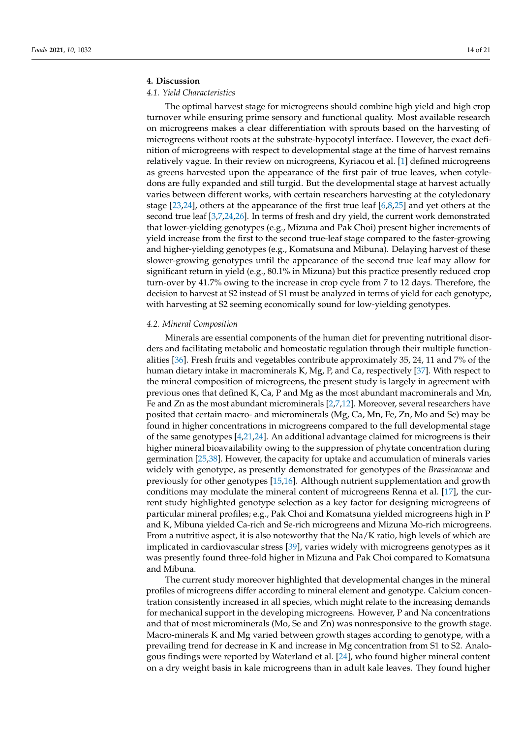#### **4. Discussion**

#### *4.1. Yield Characteristics*

The optimal harvest stage for microgreens should combine high yield and high crop turnover while ensuring prime sensory and functional quality. Most available research on microgreens makes a clear differentiation with sprouts based on the harvesting of microgreens without roots at the substrate-hypocotyl interface. However, the exact definition of microgreens with respect to developmental stage at the time of harvest remains relatively vague. In their review on microgreens, Kyriacou et al. [\[1\]](#page-18-0) defined microgreens as greens harvested upon the appearance of the first pair of true leaves, when cotyledons are fully expanded and still turgid. But the developmental stage at harvest actually varies between different works, with certain researchers harvesting at the cotyledonary stage [\[23,](#page-18-17)[24\]](#page-19-0), others at the appearance of the first true leaf [\[6](#page-18-14)[,8](#page-18-5)[,25\]](#page-19-1) and yet others at the second true leaf [\[3,](#page-18-2)[7,](#page-18-4)[24,](#page-19-0)[26\]](#page-19-2). In terms of fresh and dry yield, the current work demonstrated that lower-yielding genotypes (e.g., Mizuna and Pak Choi) present higher increments of yield increase from the first to the second true-leaf stage compared to the faster-growing and higher-yielding genotypes (e.g., Komatsuna and Mibuna). Delaying harvest of these slower-growing genotypes until the appearance of the second true leaf may allow for significant return in yield (e.g.,  $80.1\%$  in Mizuna) but this practice presently reduced crop turn-over by 41.7% owing to the increase in crop cycle from 7 to 12 days. Therefore, the decision to harvest at S2 instead of S1 must be analyzed in terms of yield for each genotype, with harvesting at S2 seeming economically sound for low-yielding genotypes.

#### *4.2. Mineral Composition*

Minerals are essential components of the human diet for preventing nutritional disorders and facilitating metabolic and homeostatic regulation through their multiple functionalities [\[36\]](#page-19-12). Fresh fruits and vegetables contribute approximately 35, 24, 11 and 7% of the human dietary intake in macrominerals K, Mg, P, and Ca, respectively [\[37\]](#page-19-13). With respect to the mineral composition of microgreens, the present study is largely in agreement with previous ones that defined K, Ca, P and Mg as the most abundant macrominerals and Mn, Fe and Zn as the most abundant microminerals [\[2,](#page-18-1)[7,](#page-18-4)[12\]](#page-18-9). Moreover, several researchers have posited that certain macro- and microminerals (Mg, Ca, Mn, Fe, Zn, Mo and Se) may be found in higher concentrations in microgreens compared to the full developmental stage of the same genotypes  $[4,21,24]$  $[4,21,24]$  $[4,21,24]$ . An additional advantage claimed for microgreens is their higher mineral bioavailability owing to the suppression of phytate concentration during germination [\[25](#page-19-1)[,38\]](#page-19-14). However, the capacity for uptake and accumulation of minerals varies widely with genotype, as presently demonstrated for genotypes of the *Brassicaceae* and previously for other genotypes [\[15](#page-18-18)[,16\]](#page-18-19). Although nutrient supplementation and growth conditions may modulate the mineral content of microgreens Renna et al. [\[17\]](#page-18-11), the current study highlighted genotype selection as a key factor for designing microgreens of particular mineral profiles; e.g., Pak Choi and Komatsuna yielded microgreens high in P and K, Mibuna yielded Ca-rich and Se-rich microgreens and Mizuna Mo-rich microgreens. From a nutritive aspect, it is also noteworthy that the Na/K ratio, high levels of which are implicated in cardiovascular stress [\[39\]](#page-19-15), varies widely with microgreens genotypes as it was presently found three-fold higher in Mizuna and Pak Choi compared to Komatsuna and Mibuna.

The current study moreover highlighted that developmental changes in the mineral profiles of microgreens differ according to mineral element and genotype. Calcium concentration consistently increased in all species, which might relate to the increasing demands for mechanical support in the developing microgreens. However, P and Na concentrations and that of most microminerals (Mo, Se and Zn) was nonresponsive to the growth stage. Macro-minerals K and Mg varied between growth stages according to genotype, with a prevailing trend for decrease in K and increase in Mg concentration from S1 to S2. Analogous findings were reported by Waterland et al. [\[24\]](#page-19-0), who found higher mineral content on a dry weight basis in kale microgreens than in adult kale leaves. They found higher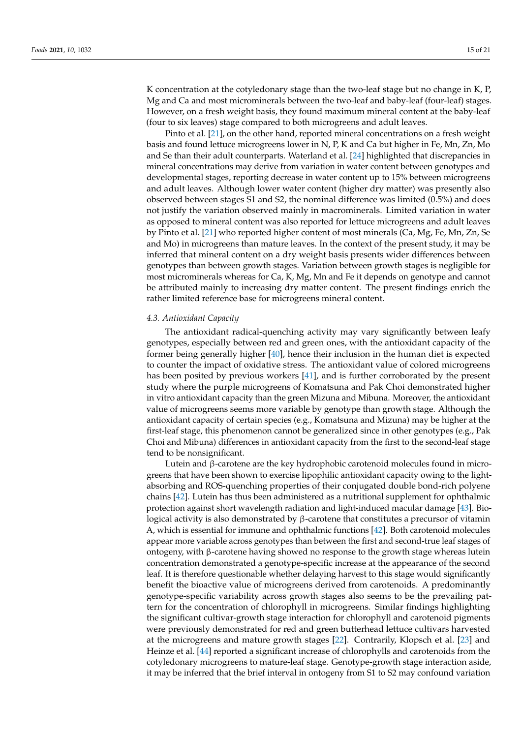K concentration at the cotyledonary stage than the two-leaf stage but no change in K, P, Mg and Ca and most microminerals between the two-leaf and baby-leaf (four-leaf) stages. However, on a fresh weight basis, they found maximum mineral content at the baby-leaf (four to six leaves) stage compared to both microgreens and adult leaves.

Pinto et al. [\[21\]](#page-18-15), on the other hand, reported mineral concentrations on a fresh weight basis and found lettuce microgreens lower in N, P, K and Ca but higher in Fe, Mn, Zn, Mo and Se than their adult counterparts. Waterland et al. [\[24\]](#page-19-0) highlighted that discrepancies in mineral concentrations may derive from variation in water content between genotypes and developmental stages, reporting decrease in water content up to 15% between microgreens and adult leaves. Although lower water content (higher dry matter) was presently also observed between stages S1 and S2, the nominal difference was limited (0.5%) and does not justify the variation observed mainly in macrominerals. Limited variation in water as opposed to mineral content was also reported for lettuce microgreens and adult leaves by Pinto et al. [\[21\]](#page-18-15) who reported higher content of most minerals (Ca, Mg, Fe, Mn, Zn, Se and Mo) in microgreens than mature leaves. In the context of the present study, it may be inferred that mineral content on a dry weight basis presents wider differences between genotypes than between growth stages. Variation between growth stages is negligible for most microminerals whereas for Ca, K, Mg, Mn and Fe it depends on genotype and cannot be attributed mainly to increasing dry matter content. The present findings enrich the rather limited reference base for microgreens mineral content.

#### *4.3. Antioxidant Capacity*

The antioxidant radical-quenching activity may vary significantly between leafy genotypes, especially between red and green ones, with the antioxidant capacity of the former being generally higher [\[40\]](#page-19-16), hence their inclusion in the human diet is expected to counter the impact of oxidative stress. The antioxidant value of colored microgreens has been posited by previous workers [\[41\]](#page-19-17), and is further corroborated by the present study where the purple microgreens of Komatsuna and Pak Choi demonstrated higher in vitro antioxidant capacity than the green Mizuna and Mibuna. Moreover, the antioxidant value of microgreens seems more variable by genotype than growth stage. Although the antioxidant capacity of certain species (e.g., Komatsuna and Mizuna) may be higher at the first-leaf stage, this phenomenon cannot be generalized since in other genotypes (e.g., Pak Choi and Mibuna) differences in antioxidant capacity from the first to the second-leaf stage tend to be nonsignificant.

Lutein and β-carotene are the key hydrophobic carotenoid molecules found in microgreens that have been shown to exercise lipophilic antioxidant capacity owing to the lightabsorbing and ROS-quenching properties of their conjugated double bond-rich polyene chains [\[42\]](#page-19-18). Lutein has thus been administered as a nutritional supplement for ophthalmic protection against short wavelength radiation and light-induced macular damage [\[43\]](#page-19-19). Biological activity is also demonstrated by β-carotene that constitutes a precursor of vitamin A, which is essential for immune and ophthalmic functions [\[42\]](#page-19-18). Both carotenoid molecules appear more variable across genotypes than between the first and second-true leaf stages of ontogeny, with β-carotene having showed no response to the growth stage whereas lutein concentration demonstrated a genotype-specific increase at the appearance of the second leaf. It is therefore questionable whether delaying harvest to this stage would significantly benefit the bioactive value of microgreens derived from carotenoids. A predominantly genotype-specific variability across growth stages also seems to be the prevailing pattern for the concentration of chlorophyll in microgreens. Similar findings highlighting the significant cultivar-growth stage interaction for chlorophyll and carotenoid pigments were previously demonstrated for red and green butterhead lettuce cultivars harvested at the microgreens and mature growth stages [\[22\]](#page-18-16). Contrarily, Klopsch et al. [\[23\]](#page-18-17) and Heinze et al. [\[44\]](#page-19-20) reported a significant increase of chlorophylls and carotenoids from the cotyledonary microgreens to mature-leaf stage. Genotype-growth stage interaction aside, it may be inferred that the brief interval in ontogeny from S1 to S2 may confound variation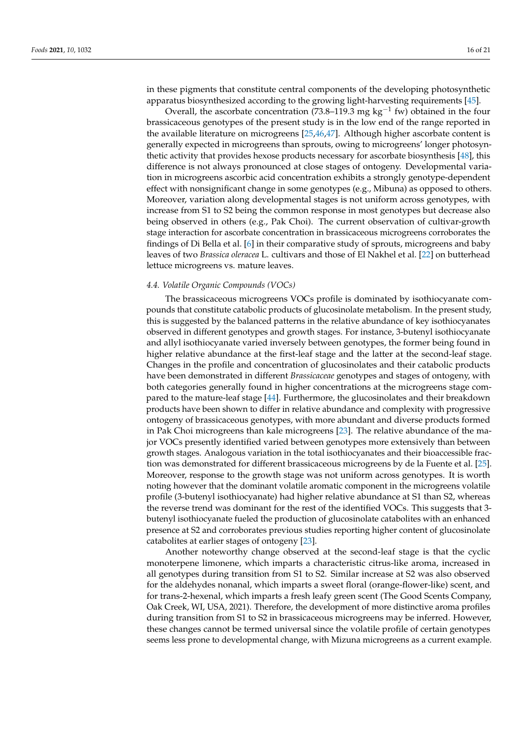in these pigments that constitute central components of the developing photosynthetic apparatus biosynthesized according to the growing light-harvesting requirements [\[45\]](#page-19-21).

Overall, the ascorbate concentration (73.8–119.3 mg kg<sup>-1</sup> fw) obtained in the four brassicaceous genotypes of the present study is in the low end of the range reported in the available literature on microgreens [\[25](#page-19-1)[,46](#page-19-22)[,47\]](#page-19-23). Although higher ascorbate content is generally expected in microgreens than sprouts, owing to microgreens' longer photosynthetic activity that provides hexose products necessary for ascorbate biosynthesis [\[48\]](#page-19-24), this difference is not always pronounced at close stages of ontogeny. Developmental variation in microgreens ascorbic acid concentration exhibits a strongly genotype-dependent effect with nonsignificant change in some genotypes (e.g., Mibuna) as opposed to others. Moreover, variation along developmental stages is not uniform across genotypes, with increase from S1 to S2 being the common response in most genotypes but decrease also being observed in others (e.g., Pak Choi). The current observation of cultivar-growth stage interaction for ascorbate concentration in brassicaceous microgreens corroborates the findings of Di Bella et al. [\[6\]](#page-18-14) in their comparative study of sprouts, microgreens and baby leaves of two *Brassica oleracea* L. cultivars and those of El Nakhel et al. [\[22\]](#page-18-16) on butterhead lettuce microgreens vs. mature leaves.

#### *4.4. Volatile Organic Compounds (VOCs)*

The brassicaceous microgreens VOCs profile is dominated by isothiocyanate compounds that constitute catabolic products of glucosinolate metabolism. In the present study, this is suggested by the balanced patterns in the relative abundance of key isothiocyanates observed in different genotypes and growth stages. For instance, 3-butenyl isothiocyanate and allyl isothiocyanate varied inversely between genotypes, the former being found in higher relative abundance at the first-leaf stage and the latter at the second-leaf stage. Changes in the profile and concentration of glucosinolates and their catabolic products have been demonstrated in different *Brassicaceae* genotypes and stages of ontogeny, with both categories generally found in higher concentrations at the microgreens stage compared to the mature-leaf stage [\[44\]](#page-19-20). Furthermore, the glucosinolates and their breakdown products have been shown to differ in relative abundance and complexity with progressive ontogeny of brassicaceous genotypes, with more abundant and diverse products formed in Pak Choi microgreens than kale microgreens [\[23\]](#page-18-17). The relative abundance of the major VOCs presently identified varied between genotypes more extensively than between growth stages. Analogous variation in the total isothiocyanates and their bioaccessible fraction was demonstrated for different brassicaceous microgreens by de la Fuente et al. [\[25\]](#page-19-1). Moreover, response to the growth stage was not uniform across genotypes. It is worth noting however that the dominant volatile aromatic component in the microgreens volatile profile (3-butenyl isothiocyanate) had higher relative abundance at S1 than S2, whereas the reverse trend was dominant for the rest of the identified VOCs. This suggests that 3 butenyl isothiocyanate fueled the production of glucosinolate catabolites with an enhanced presence at S2 and corroborates previous studies reporting higher content of glucosinolate catabolites at earlier stages of ontogeny [\[23\]](#page-18-17).

Another noteworthy change observed at the second-leaf stage is that the cyclic monoterpene limonene, which imparts a characteristic citrus-like aroma, increased in all genotypes during transition from S1 to S2. Similar increase at S2 was also observed for the aldehydes nonanal, which imparts a sweet floral (orange-flower-like) scent, and for trans-2-hexenal, which imparts a fresh leafy green scent (The Good Scents Company, Oak Creek, WI, USA, 2021). Therefore, the development of more distinctive aroma profiles during transition from S1 to S2 in brassicaceous microgreens may be inferred. However, these changes cannot be termed universal since the volatile profile of certain genotypes seems less prone to developmental change, with Mizuna microgreens as a current example.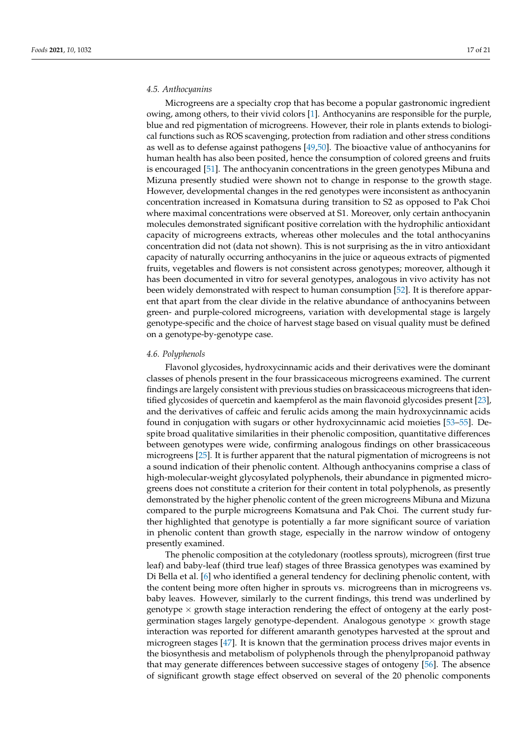#### *4.5. Anthocyanins*

Microgreens are a specialty crop that has become a popular gastronomic ingredient owing, among others, to their vivid colors [\[1\]](#page-18-0). Anthocyanins are responsible for the purple, blue and red pigmentation of microgreens. However, their role in plants extends to biological functions such as ROS scavenging, protection from radiation and other stress conditions as well as to defense against pathogens [\[49,](#page-19-25)[50\]](#page-20-0). The bioactive value of anthocyanins for human health has also been posited, hence the consumption of colored greens and fruits is encouraged [\[51\]](#page-20-1). The anthocyanin concentrations in the green genotypes Mibuna and Mizuna presently studied were shown not to change in response to the growth stage. However, developmental changes in the red genotypes were inconsistent as anthocyanin concentration increased in Komatsuna during transition to S2 as opposed to Pak Choi where maximal concentrations were observed at S1. Moreover, only certain anthocyanin molecules demonstrated significant positive correlation with the hydrophilic antioxidant capacity of microgreens extracts, whereas other molecules and the total anthocyanins concentration did not (data not shown). This is not surprising as the in vitro antioxidant capacity of naturally occurring anthocyanins in the juice or aqueous extracts of pigmented fruits, vegetables and flowers is not consistent across genotypes; moreover, although it has been documented in vitro for several genotypes, analogous in vivo activity has not been widely demonstrated with respect to human consumption [\[52\]](#page-20-2). It is therefore apparent that apart from the clear divide in the relative abundance of anthocyanins between green- and purple-colored microgreens, variation with developmental stage is largely genotype-specific and the choice of harvest stage based on visual quality must be defined on a genotype-by-genotype case.

#### *4.6. Polyphenols*

Flavonol glycosides, hydroxycinnamic acids and their derivatives were the dominant classes of phenols present in the four brassicaceous microgreens examined. The current findings are largely consistent with previous studies on brassicaceous microgreens that identified glycosides of quercetin and kaempferol as the main flavonoid glycosides present [\[23\]](#page-18-17), and the derivatives of caffeic and ferulic acids among the main hydroxycinnamic acids found in conjugation with sugars or other hydroxycinnamic acid moieties [\[53](#page-20-3)[–55\]](#page-20-4). Despite broad qualitative similarities in their phenolic composition, quantitative differences between genotypes were wide, confirming analogous findings on other brassicaceous microgreens [\[25\]](#page-19-1). It is further apparent that the natural pigmentation of microgreens is not a sound indication of their phenolic content. Although anthocyanins comprise a class of high-molecular-weight glycosylated polyphenols, their abundance in pigmented microgreens does not constitute a criterion for their content in total polyphenols, as presently demonstrated by the higher phenolic content of the green microgreens Mibuna and Mizuna compared to the purple microgreens Komatsuna and Pak Choi. The current study further highlighted that genotype is potentially a far more significant source of variation in phenolic content than growth stage, especially in the narrow window of ontogeny presently examined.

The phenolic composition at the cotyledonary (rootless sprouts), microgreen (first true leaf) and baby-leaf (third true leaf) stages of three Brassica genotypes was examined by Di Bella et al. [\[6\]](#page-18-14) who identified a general tendency for declining phenolic content, with the content being more often higher in sprouts vs. microgreens than in microgreens vs. baby leaves. However, similarly to the current findings, this trend was underlined by genotype  $\times$  growth stage interaction rendering the effect of ontogeny at the early postgermination stages largely genotype-dependent. Analogous genotype  $\times$  growth stage interaction was reported for different amaranth genotypes harvested at the sprout and microgreen stages [\[47\]](#page-19-23). It is known that the germination process drives major events in the biosynthesis and metabolism of polyphenols through the phenylpropanoid pathway that may generate differences between successive stages of ontogeny [\[56\]](#page-20-5). The absence of significant growth stage effect observed on several of the 20 phenolic components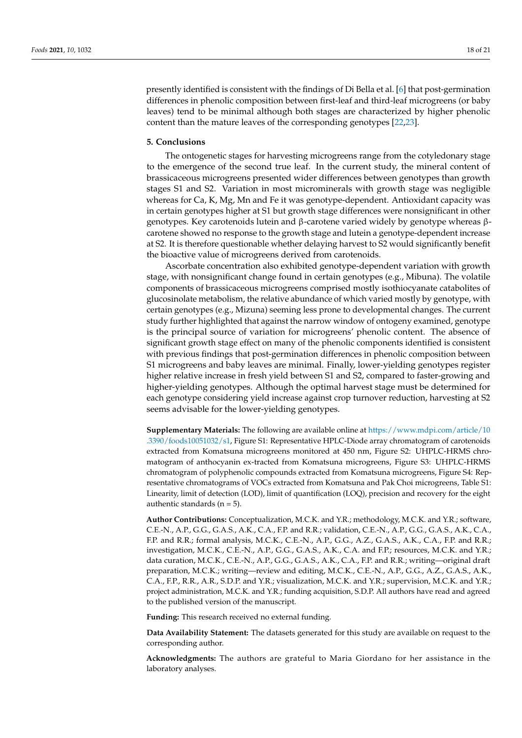presently identified is consistent with the findings of Di Bella et al. [\[6\]](#page-18-14) that post-germination differences in phenolic composition between first-leaf and third-leaf microgreens (or baby leaves) tend to be minimal although both stages are characterized by higher phenolic content than the mature leaves of the corresponding genotypes [\[22,](#page-18-16)[23\]](#page-18-17).

#### **5. Conclusions**

The ontogenetic stages for harvesting microgreens range from the cotyledonary stage to the emergence of the second true leaf. In the current study, the mineral content of brassicaceous microgreens presented wider differences between genotypes than growth stages S1 and S2. Variation in most microminerals with growth stage was negligible whereas for Ca, K, Mg, Mn and Fe it was genotype-dependent. Antioxidant capacity was in certain genotypes higher at S1 but growth stage differences were nonsignificant in other genotypes. Key carotenoids lutein and β-carotene varied widely by genotype whereas βcarotene showed no response to the growth stage and lutein a genotype-dependent increase at S2. It is therefore questionable whether delaying harvest to S2 would significantly benefit the bioactive value of microgreens derived from carotenoids.

Ascorbate concentration also exhibited genotype-dependent variation with growth stage, with nonsignificant change found in certain genotypes (e.g., Mibuna). The volatile components of brassicaceous microgreens comprised mostly isothiocyanate catabolites of glucosinolate metabolism, the relative abundance of which varied mostly by genotype, with certain genotypes (e.g., Mizuna) seeming less prone to developmental changes. The current study further highlighted that against the narrow window of ontogeny examined, genotype is the principal source of variation for microgreens' phenolic content. The absence of significant growth stage effect on many of the phenolic components identified is consistent with previous findings that post-germination differences in phenolic composition between S1 microgreens and baby leaves are minimal. Finally, lower-yielding genotypes register higher relative increase in fresh yield between S1 and S2, compared to faster-growing and higher-yielding genotypes. Although the optimal harvest stage must be determined for each genotype considering yield increase against crop turnover reduction, harvesting at S2 seems advisable for the lower-yielding genotypes.

**Supplementary Materials:** The following are available online at [https://www.mdpi.com/article/10](https://www.mdpi.com/article/10.3390/foods10051032/s1) [.3390/foods10051032/s1,](https://www.mdpi.com/article/10.3390/foods10051032/s1) Figure S1: Representative HPLC-Diode array chromatogram of carotenoids extracted from Komatsuna microgreens monitored at 450 nm, Figure S2: UHPLC-HRMS chromatogram of anthocyanin ex-tracted from Komatsuna microgreens, Figure S3: UHPLC-HRMS chromatogram of polyphenolic compounds extracted from Komatsuna microgreens, Figure S4: Representative chromatograms of VOCs extracted from Komatsuna and Pak Choi microgreens, Table S1: Linearity, limit of detection (LOD), limit of quantification (LOQ), precision and recovery for the eight authentic standards ( $n = 5$ ).

**Author Contributions:** Conceptualization, M.C.K. and Y.R.; methodology, M.C.K. and Y.R.; software, C.E.-N., A.P., G.G., G.A.S., A.K., C.A., F.P. and R.R.; validation, C.E.-N., A.P., G.G., G.A.S., A.K., C.A., F.P. and R.R.; formal analysis, M.C.K., C.E.-N., A.P., G.G., A.Z., G.A.S., A.K., C.A., F.P. and R.R.; investigation, M.C.K., C.E.-N., A.P., G.G., G.A.S., A.K., C.A. and F.P.; resources, M.C.K. and Y.R.; data curation, M.C.K., C.E.-N., A.P., G.G., G.A.S., A.K., C.A., F.P. and R.R.; writing—original draft preparation, M.C.K.; writing—review and editing, M.C.K., C.E.-N., A.P., G.G., A.Z., G.A.S., A.K., C.A., F.P., R.R., A.R., S.D.P. and Y.R.; visualization, M.C.K. and Y.R.; supervision, M.C.K. and Y.R.; project administration, M.C.K. and Y.R.; funding acquisition, S.D.P. All authors have read and agreed to the published version of the manuscript.

**Funding:** This research received no external funding.

**Data Availability Statement:** The datasets generated for this study are available on request to the corresponding author.

**Acknowledgments:** The authors are grateful to Maria Giordano for her assistance in the laboratory analyses.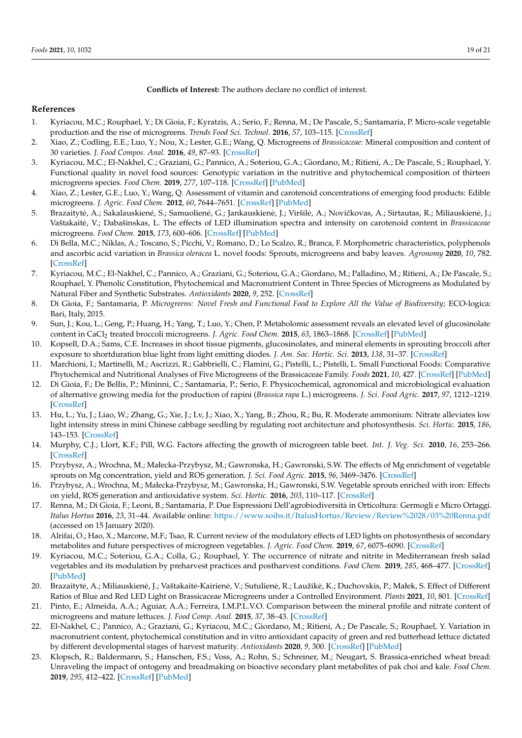**Conflicts of Interest:** The authors declare no conflict of interest.

#### **References**

- <span id="page-18-0"></span>1. Kyriacou, M.C.; Rouphael, Y.; Di Gioia, F.; Kyratzis, A.; Serio, F.; Renna, M.; De Pascale, S.; Santamaria, P. Micro-scale vegetable production and the rise of microgreens. *Trends Food Sci. Technol.* **2016**, *57*, 103–115. [\[CrossRef\]](http://doi.org/10.1016/j.tifs.2016.09.005)
- <span id="page-18-1"></span>2. Xiao, Z.; Codling, E.E.; Luo, Y.; Nou, X.; Lester, G.E.; Wang, Q. Microgreens of *Brassicaceae*: Mineral composition and content of 30 varieties. *J. Food Compos. Anal.* **2016**, *49*, 87–93. [\[CrossRef\]](http://doi.org/10.1016/j.jfca.2016.04.006)
- <span id="page-18-2"></span>3. Kyriacou, M.C.; El-Nakhel, C.; Graziani, G.; Pannico, A.; Soteriou, G.A.; Giordano, M.; Ritieni, A.; De Pascale, S.; Rouphael, Y. Functional quality in novel food sources: Genotypic variation in the nutritive and phytochemical composition of thirteen microgreens species. *Food Chem.* **2019**, *277*, 107–118. [\[CrossRef\]](http://doi.org/10.1016/j.foodchem.2018.10.098) [\[PubMed\]](http://www.ncbi.nlm.nih.gov/pubmed/30502125)
- <span id="page-18-3"></span>4. Xiao, Z.; Lester, G.E.; Luo, Y.; Wang, Q. Assessment of vitamin and carotenoid concentrations of emerging food products: Edible microgreens. *J. Agric. Food Chem.* **2012**, *60*, 7644–7651. [\[CrossRef\]](http://doi.org/10.1021/jf300459b) [\[PubMed\]](http://www.ncbi.nlm.nih.gov/pubmed/22812633)
- 5. Brazaitytė, A.; Sakalauskienė, S.; Samuolienė, G.; Jankauskienė, J.; Viršilė, A.; Novičkovas, A.; Sirtautas, R.; Miliauskienė, J.; Vaštakaitė, V.; Dabašinskas, L. The effects of LED illumination spectra and intensity on carotenoid content in Brassicaceae microgreens. *Food Chem.* **2015**, *173*, 600–606. [\[CrossRef\]](http://doi.org/10.1016/j.foodchem.2014.10.077) [\[PubMed\]](http://www.ncbi.nlm.nih.gov/pubmed/25466065)
- <span id="page-18-14"></span>6. Di Bella, M.C.; Niklas, A.; Toscano, S.; Picchi, V.; Romano, D.; Lo Scalzo, R.; Branca, F. Morphometric characteristics, polyphenols and ascorbic acid variation in *Brassica oleracea* L. novel foods: Sprouts, microgreens and baby leaves. *Agronomy* **2020**, *10*, 782. [\[CrossRef\]](http://doi.org/10.3390/agronomy10060782)
- <span id="page-18-4"></span>7. Kyriacou, M.C.; El-Nakhel, C.; Pannico, A.; Graziani, G.; Soteriou, G.A.; Giordano, M.; Palladino, M.; Ritieni, A.; De Pascale, S.; Rouphael, Y. Phenolic Constitution, Phytochemical and Macronutrient Content in Three Species of Microgreens as Modulated by Natural Fiber and Synthetic Substrates. *Antioxidants* **2020**, *9*, 252. [\[CrossRef\]](http://doi.org/10.3390/antiox9030252)
- <span id="page-18-5"></span>8. Di Gioia, F.; Santamaria, P. *Microgreens: Novel Fresh and Functional Food to Explore All the Value of Biodiversity*; ECO-logica: Bari, Italy, 2015.
- <span id="page-18-6"></span>9. Sun, J.; Kou, L.; Geng, P.; Huang, H.; Yang, T.; Luo, Y.; Chen, P. Metabolomic assessment reveals an elevated level of glucosinolate content in CaCl<sup>2</sup> treated broccoli microgreens. *J. Agric. Food Chem.* **2015**, *63*, 1863–1868. [\[CrossRef\]](http://doi.org/10.1021/jf504710r) [\[PubMed\]](http://www.ncbi.nlm.nih.gov/pubmed/25594226)
- <span id="page-18-7"></span>10. Kopsell, D.A.; Sams, C.E. Increases in shoot tissue pigments, glucosinolates, and mineral elements in sprouting broccoli after exposure to shortduration blue light from light emitting diodes. *J. Am. Soc. Hortic. Sci.* **2013**, *138*, 31–37. [\[CrossRef\]](http://doi.org/10.21273/JASHS.138.1.31)
- <span id="page-18-8"></span>11. Marchioni, I.; Martinelli, M.; Ascrizzi, R.; Gabbrielli, C.; Flamini, G.; Pistelli, L.; Pistelli, L. Small Functional Foods: Comparative Phytochemical and Nutritional Analyses of Five Microgreens of the Brassicaceae Family. *Foods* **2021**, *10*, 427. [\[CrossRef\]](http://doi.org/10.3390/foods10020427) [\[PubMed\]](http://www.ncbi.nlm.nih.gov/pubmed/33672089)
- <span id="page-18-9"></span>12. Di Gioia, F.; De Bellis, P.; Mininni, C.; Santamaria, P.; Serio, F. Physicochemical, agronomical and microbiological evaluation of alternative growing media for the production of rapini (*Brassica rapa* L.) microgreens. *J. Sci. Food Agric.* **2017**, *97*, 1212–1219. [\[CrossRef\]](http://doi.org/10.1002/jsfa.7852)
- <span id="page-18-10"></span>13. Hu, L.; Yu, J.; Liao, W.; Zhang, G.; Xie, J.; Lv, J.; Xiao, X.; Yang, B.; Zhou, R.; Bu, R. Moderate ammonium: Nitrate alleviates low light intensity stress in mini Chinese cabbage seedling by regulating root architecture and photosynthesis. *Sci. Hortic.* **2015**, *186*, 143–153. [\[CrossRef\]](http://doi.org/10.1016/j.scienta.2015.02.020)
- 14. Murphy, C.J.; Llort, K.F.; Pill, W.G. Factors affecting the growth of microgreen table beet. *Int. J. Veg. Sci.* **2010**, *16*, 253–266. [\[CrossRef\]](http://doi.org/10.1080/19315261003648241)
- <span id="page-18-18"></span>15. Przybysz, A.; Wrochna, M.; Małecka-Przybysz, M.; Gawronska, H.; Gawronski, S.W. The effects of Mg enrichment of vegetable sprouts on Mg concentration, yield and ROS generation. *J. Sci. Food Agric.* **2015**, *96*, 3469–3476. [\[CrossRef\]](http://doi.org/10.1002/jsfa.7530)
- <span id="page-18-19"></span>16. Przybysz, A.; Wrochna, M.; Małecka-Przybysz, M.; Gawronska, H.; Gawronski, S.W. Vegetable sprouts enriched with iron: Effects on yield, ROS generation and antioxidative system. *Sci. Hortic.* **2016**, *203*, 110–117. [\[CrossRef\]](http://doi.org/10.1016/j.scienta.2016.03.017)
- <span id="page-18-11"></span>17. Renna, M.; Di Gioia, F.; Leoni, B.; Santamaria, P. Due Espressioni Dell'agrobiodiversità in Orticoltura: Germogli e Micro Ortaggi. *Italus Hortus* **2016**, *23*, 31–44. Available online: <https://www.soihs.it/ItalusHortus/Review/Review%2028/03%20Renna.pdf> (accessed on 15 January 2020).
- <span id="page-18-12"></span>18. Alrifai, O.; Hao, X.; Marcone, M.F.; Tsao, R. Current review of the modulatory effects of LED lights on photosynthesis of secondary metabolites and future perspectives of microgreen vegetables. *J. Agric. Food Chem.* **2019**, *67*, 6075–6090. [\[CrossRef\]](http://doi.org/10.1021/acs.jafc.9b00819)
- 19. Kyriacou, M.C.; Soteriou, G.A.; Colla, G.; Rouphael, Y. The occurrence of nitrate and nitrite in Mediterranean fresh salad vegetables and its modulation by preharvest practices and postharvest conditions. *Food Chem.* **2019**, *285*, 468–477. [\[CrossRef\]](http://doi.org/10.1016/j.foodchem.2019.02.001) [\[PubMed\]](http://www.ncbi.nlm.nih.gov/pubmed/30797372)
- <span id="page-18-13"></span>20. Brazaitytė, A.; Miliauskienė, J.; Vaštakaitė-Kairienė, V.; Sutulienė, R.; Laužikė, K.; Duchovskis, P.; Małek, S. Effect of Different Ratios of Blue and Red LED Light on Brassicaceae Microgreens under a Controlled Environment. *Plants* **2021**, *10*, 801. [\[CrossRef\]](http://doi.org/10.3390/plants10040801)
- <span id="page-18-15"></span>21. Pinto, E.; Almeida, A.A.; Aguiar, A.A.; Ferreira, I.M.P.L.V.O. Comparison between the mineral profile and nitrate content of microgreens and mature lettuces. *J. Food Comp. Anal.* **2015**, *37*, 38–43. [\[CrossRef\]](http://doi.org/10.1016/j.jfca.2014.06.018)
- <span id="page-18-16"></span>22. El-Nakhel, C.; Pannico, A.; Graziani, G.; Kyriacou, M.C.; Giordano, M.; Ritieni, A.; De Pascale, S.; Rouphael, Y. Variation in macronutrient content, phytochemical constitution and in vitro antioxidant capacity of green and red butterhead lettuce dictated by different developmental stages of harvest maturity. *Antioxidants* **2020**, *9*, 300. [\[CrossRef\]](http://doi.org/10.3390/antiox9040300) [\[PubMed\]](http://www.ncbi.nlm.nih.gov/pubmed/32260224)
- <span id="page-18-17"></span>23. Klopsch, R.; Baldermann, S.; Hanschen, F.S.; Voss, A.; Rohn, S.; Schreiner, M.; Neugart, S. Brassica-enriched wheat bread: Unraveling the impact of ontogeny and breadmaking on bioactive secondary plant metabolites of pak choi and kale. *Food Chem.* **2019**, *295*, 412–422. [\[CrossRef\]](http://doi.org/10.1016/j.foodchem.2019.05.113) [\[PubMed\]](http://www.ncbi.nlm.nih.gov/pubmed/31174776)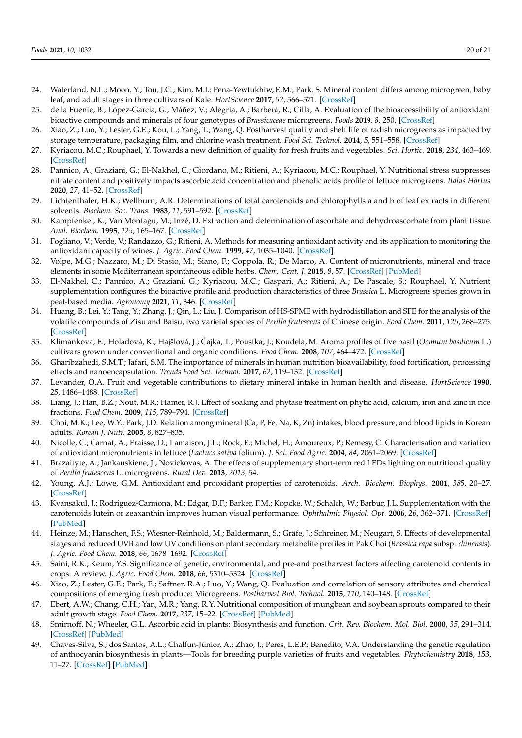- <span id="page-19-0"></span>24. Waterland, N.L.; Moon, Y.; Tou, J.C.; Kim, M.J.; Pena-Yewtukhiw, E.M.; Park, S. Mineral content differs among microgreen, baby leaf, and adult stages in three cultivars of Kale. *HortScience* **2017**, *52*, 566–571. [\[CrossRef\]](http://doi.org/10.21273/HORTSCI11499-16)
- <span id="page-19-1"></span>25. de la Fuente, B.; López-García, G.; Máñez, V.; Alegría, A.; Barberá, R.; Cilla, A. Evaluation of the bioaccessibility of antioxidant bioactive compounds and minerals of four genotypes of *Brassicaceae* microgreens. *Foods* **2019**, *8*, 250. [\[CrossRef\]](http://doi.org/10.3390/foods8070250)
- <span id="page-19-2"></span>26. Xiao, Z.; Luo, Y.; Lester, G.E.; Kou, L.; Yang, T.; Wang, Q. Postharvest quality and shelf life of radish microgreens as impacted by storage temperature, packaging film, and chlorine wash treatment. *Food Sci. Technol.* **2014**, *5*, 551–558. [\[CrossRef\]](http://doi.org/10.1016/j.lwt.2013.09.009)
- <span id="page-19-3"></span>27. Kyriacou, M.C.; Rouphael, Y. Towards a new definition of quality for fresh fruits and vegetables. *Sci. Hortic.* **2018**, *234*, 463–469. [\[CrossRef\]](http://doi.org/10.1016/j.scienta.2017.09.046)
- <span id="page-19-4"></span>28. Pannico, A.; Graziani, G.; El-Nakhel, C.; Giordano, M.; Ritieni, A.; Kyriacou, M.C.; Rouphael, Y. Nutritional stress suppresses nitrate content and positively impacts ascorbic acid concentration and phenolic acids profile of lettuce microgreens. *Italus Hortus* **2020**, *27*, 41–52. [\[CrossRef\]](http://doi.org/10.26353/j.itahort/2020.3.4152)
- <span id="page-19-5"></span>29. Lichtenthaler, H.K.; Wellburn, A.R. Determinations of total carotenoids and chlorophylls a and b of leaf extracts in different solvents. *Biochem. Soc. Trans.* **1983**, *11*, 591–592. [\[CrossRef\]](http://doi.org/10.1042/bst0110591)
- <span id="page-19-6"></span>30. Kampfenkel, K.; Van Montagu, M.; Inzé, D. Extraction and determination of ascorbate and dehydroascorbate from plant tissue. *Anal. Biochem.* **1995**, *225*, 165–167. [\[CrossRef\]](http://doi.org/10.1006/abio.1995.1127)
- <span id="page-19-7"></span>31. Fogliano, V.; Verde, V.; Randazzo, G.; Ritieni, A. Methods for measuring antioxidant activity and its application to monitoring the antioxidant capacity of wines. *J. Agric. Food Chem.* **1999**, *47*, 1035–1040. [\[CrossRef\]](http://doi.org/10.1021/jf980496s)
- <span id="page-19-8"></span>32. Volpe, M.G.; Nazzaro, M.; Di Stasio, M.; Siano, F.; Coppola, R.; De Marco, A. Content of micronutrients, mineral and trace elements in some Mediterranean spontaneous edible herbs. *Chem. Cent. J.* **2015**, *9*, 57. [\[CrossRef\]](http://doi.org/10.1186/s13065-015-0137-9) [\[PubMed\]](http://www.ncbi.nlm.nih.gov/pubmed/26473007)
- <span id="page-19-9"></span>33. El-Nakhel, C.; Pannico, A.; Graziani, G.; Kyriacou, M.C.; Gaspari, A.; Ritieni, A.; De Pascale, S.; Rouphael, Y. Nutrient supplementation configures the bioactive profile and production characteristics of three *Brassica* L. Microgreens species grown in peat-based media. *Agronomy* **2021**, *11*, 346. [\[CrossRef\]](http://doi.org/10.3390/agronomy11020346)
- <span id="page-19-10"></span>34. Huang, B.; Lei, Y.; Tang, Y.; Zhang, J.; Qin, L.; Liu, J. Comparison of HS-SPME with hydrodistillation and SFE for the analysis of the volatile compounds of Zisu and Baisu, two varietal species of *Perilla frutescens* of Chinese origin. *Food Chem.* **2011**, *125*, 268–275. [\[CrossRef\]](http://doi.org/10.1016/j.foodchem.2010.08.043)
- <span id="page-19-11"></span>35. Klimankova, E.; Holadová, K.; Hajšlová, J.; Čajka, T.; Poustka, J.; Koudela, M. Aroma profiles of five basil (*Ocimum basilicum* L.) cultivars grown under conventional and organic conditions. *Food Chem.* **2008**, *107*, 464–472. [\[CrossRef\]](http://doi.org/10.1016/j.foodchem.2007.07.062)
- <span id="page-19-12"></span>36. Gharibzahedi, S.M.T.; Jafari, S.M. The importance of minerals in human nutrition bioavailability, food fortification, processing effects and nanoencapsulation. *Trends Food Sci. Technol.* **2017**, *62*, 119–132. [\[CrossRef\]](http://doi.org/10.1016/j.tifs.2017.02.017)
- <span id="page-19-13"></span>37. Levander, O.A. Fruit and vegetable contributions to dietary mineral intake in human health and disease. *HortScience* **1990**, *25*, 1486–1488. [\[CrossRef\]](http://doi.org/10.21273/HORTSCI.25.12.1486)
- <span id="page-19-14"></span>38. Liang, J.; Han, B.Z.; Nout, M.R.; Hamer, R.J. Effect of soaking and phytase treatment on phytic acid, calcium, iron and zinc in rice fractions. *Food Chem.* **2009**, *115*, 789–794. [\[CrossRef\]](http://doi.org/10.1016/j.foodchem.2008.12.051)
- <span id="page-19-15"></span>39. Choi, M.K.; Lee, W.Y.; Park, J.D. Relation among mineral (Ca, P, Fe, Na, K, Zn) intakes, blood pressure, and blood lipids in Korean adults. *Korean J. Nutr.* **2005**, *8*, 827–835.
- <span id="page-19-16"></span>40. Nicolle, C.; Carnat, A.; Fraisse, D.; Lamaison, J.L.; Rock, E.; Michel, H.; Amoureux, P.; Remesy, C. Characterisation and variation of antioxidant micronutrients in lettuce (*Lactuca sativa* folium). *J. Sci. Food Agric.* **2004**, *84*, 2061–2069. [\[CrossRef\]](http://doi.org/10.1002/jsfa.1916)
- <span id="page-19-17"></span>41. Brazaityte, A.; Jankauskiene, J.; Novickovas, A. The effects of supplementary short-term red LEDs lighting on nutritional quality of *Perilla frutescens* L. microgreens. *Rural Dev.* **2013**, *2013*, 54.
- <span id="page-19-18"></span>42. Young, A.J.; Lowe, G.M. Antioxidant and prooxidant properties of carotenoids. *Arch. Biochem. Biophys.* **2001**, *385*, 20–27. [\[CrossRef\]](http://doi.org/10.1006/abbi.2000.2149)
- <span id="page-19-19"></span>43. Kvansakul, J.; Rodriguez-Carmona, M.; Edgar, D.F.; Barker, F.M.; Kopcke, W.; Schalch, W.; Barbur, J.L. Supplementation with the carotenoids lutein or zeaxanthin improves human visual performance. *Ophthalmic Physiol. Opt.* **2006**, *26*, 362–371. [\[CrossRef\]](http://doi.org/10.1111/j.1475-1313.2006.00387.x) [\[PubMed\]](http://www.ncbi.nlm.nih.gov/pubmed/16792735)
- <span id="page-19-20"></span>44. Heinze, M.; Hanschen, F.S.; Wiesner-Reinhold, M.; Baldermann, S.; Gräfe, J.; Schreiner, M.; Neugart, S. Effects of developmental stages and reduced UVB and low UV conditions on plant secondary metabolite profiles in Pak Choi (*Brassica rapa* subsp. *chinensis*). *J. Agric. Food Chem.* **2018**, *66*, 1678–1692. [\[CrossRef\]](http://doi.org/10.1021/acs.jafc.7b03996)
- <span id="page-19-21"></span>45. Saini, R.K.; Keum, Y.S. Significance of genetic, environmental, and pre-and postharvest factors affecting carotenoid contents in crops: A review. *J. Agric. Food Chem.* **2018**, *66*, 5310–5324. [\[CrossRef\]](http://doi.org/10.1021/acs.jafc.8b01613)
- <span id="page-19-22"></span>46. Xiao, Z.; Lester, G.E.; Park, E.; Saftner, R.A.; Luo, Y.; Wang, Q. Evaluation and correlation of sensory attributes and chemical compositions of emerging fresh produce: Microgreens. *Postharvest Biol. Technol.* **2015**, *110*, 140–148. [\[CrossRef\]](http://doi.org/10.1016/j.postharvbio.2015.07.021)
- <span id="page-19-23"></span>47. Ebert, A.W.; Chang, C.H.; Yan, M.R.; Yang, R.Y. Nutritional composition of mungbean and soybean sprouts compared to their adult growth stage. *Food Chem.* **2017**, *237*, 15–22. [\[CrossRef\]](http://doi.org/10.1016/j.foodchem.2017.05.073) [\[PubMed\]](http://www.ncbi.nlm.nih.gov/pubmed/28763980)
- <span id="page-19-24"></span>48. Smirnoff, N.; Wheeler, G.L. Ascorbic acid in plants: Biosynthesis and function. *Crit. Rev. Biochem. Mol. Biol.* **2000**, *35*, 291–314. [\[CrossRef\]](http://doi.org/10.1080/10409230008984166) [\[PubMed\]](http://www.ncbi.nlm.nih.gov/pubmed/11005203)
- <span id="page-19-25"></span>49. Chaves-Silva, S.; dos Santos, A.L.; Chalfun-Júnior, A.; Zhao, J.; Peres, L.E.P.; Benedito, V.A. Understanding the genetic regulation of anthocyanin biosynthesis in plants—Tools for breeding purple varieties of fruits and vegetables. *Phytochemistry* **2018**, *153*, 11–27. [\[CrossRef\]](http://doi.org/10.1016/j.phytochem.2018.05.013) [\[PubMed\]](http://www.ncbi.nlm.nih.gov/pubmed/29803860)